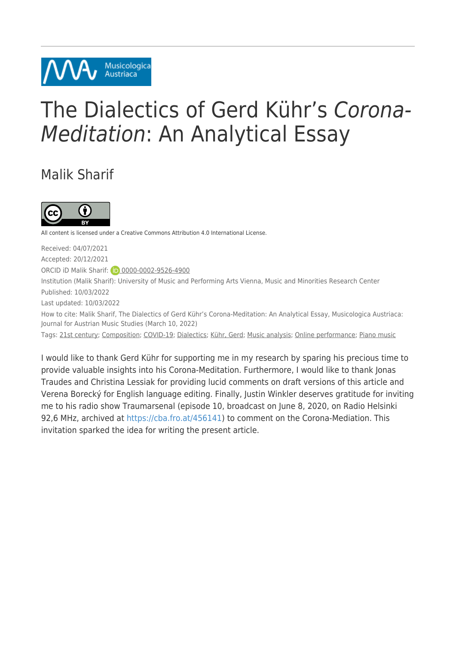# The Dialectics of Gerd Kühr's Corona-Meditation: An Analytical Essay

### Malik Sharif



All content is licensed under a Creative Commons Attribution 4.0 International License.

Musicologica Austriaca

Received: 04/07/2021 Accepted: 20/12/2021 ORCID iD Malik Sharif: **D** [0000-0002-9526-4900](https://orcid.org/0000-0002-9526-4900) Institution (Malik Sharif): University of Music and Performing Arts Vienna, Music and Minorities Research Center Published: 10/03/2022 Last updated: 10/03/2022 How to cite: Malik Sharif, The Dialectics of Gerd Kühr's Corona-Meditation: An Analytical Essay, Musicologica Austriaca: Journal for Austrian Music Studies (March 10, 2022) Tags: [21st century;](https://musau.org/parts/neue-article-page/tag/21st-century) [Composition;](https://musau.org/parts/neue-article-page/tag/composition) [COVID-19](https://musau.org/parts/neue-article-page/tag/covid-19); [Dialectics;](https://musau.org/parts/neue-article-page/tag/dialectics) [Kühr, Gerd;](https://musau.org/parts/neue-article-page/tag/kuehr-gerd1) [Music analysis](https://musau.org/parts/neue-article-page/tag/music-analysis); [Online performance](https://musau.org/parts/neue-article-page/tag/online-performance); [Piano music](https://musau.org/parts/neue-article-page/tag/piano-music)

I would like to thank Gerd Kühr for supporting me in my research by sparing his precious time to provide valuable insights into his Corona-Meditation. Furthermore, I would like to thank Jonas Traudes and Christina Lessiak for providing lucid comments on draft versions of this article and Verena Borecký for English language editing. Finally, Justin Winkler deserves gratitude for inviting me to his radio show Traumarsenal (episode 10, broadcast on June 8, 2020, on Radio Helsinki 92,6 MHz, archived at [https://cba.fro.at/456141\)](https://cba.fro.at/456141) to comment on the Corona-Mediation. This invitation sparked the idea for writing the present article.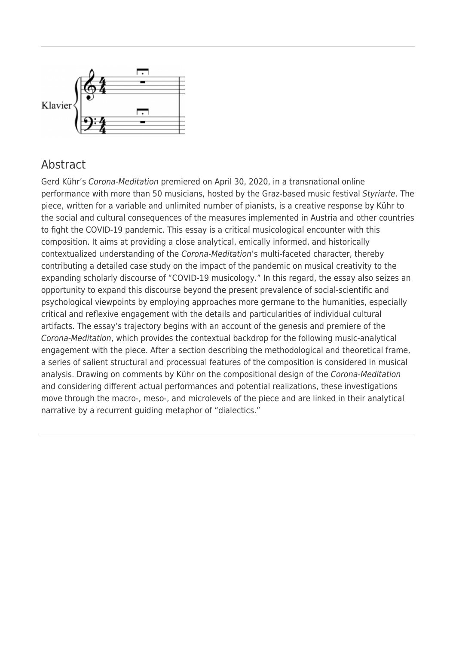

#### Abstract

Gerd Kühr's Corona-Meditation premiered on April 30, 2020, in a transnational online performance with more than 50 musicians, hosted by the Graz-based music festival Styriarte. The piece, written for a variable and unlimited number of pianists, is a creative response by Kühr to the social and cultural consequences of the measures implemented in Austria and other countries to fight the COVID-19 pandemic. This essay is a critical musicological encounter with this composition. It aims at providing a close analytical, emically informed, and historically contextualized understanding of the Corona-Meditation's multi-faceted character, thereby contributing a detailed case study on the impact of the pandemic on musical creativity to the expanding scholarly discourse of "COVID-19 musicology." In this regard, the essay also seizes an opportunity to expand this discourse beyond the present prevalence of social-scientific and psychological viewpoints by employing approaches more germane to the humanities, especially critical and reflexive engagement with the details and particularities of individual cultural artifacts. The essay's trajectory begins with an account of the genesis and premiere of the Corona-Meditation, which provides the contextual backdrop for the following music-analytical engagement with the piece. After a section describing the methodological and theoretical frame, a series of salient structural and processual features of the composition is considered in musical analysis. Drawing on comments by Kühr on the compositional design of the Corona-Meditation and considering different actual performances and potential realizations, these investigations move through the macro-, meso-, and microlevels of the piece and are linked in their analytical narrative by a recurrent guiding metaphor of "dialectics."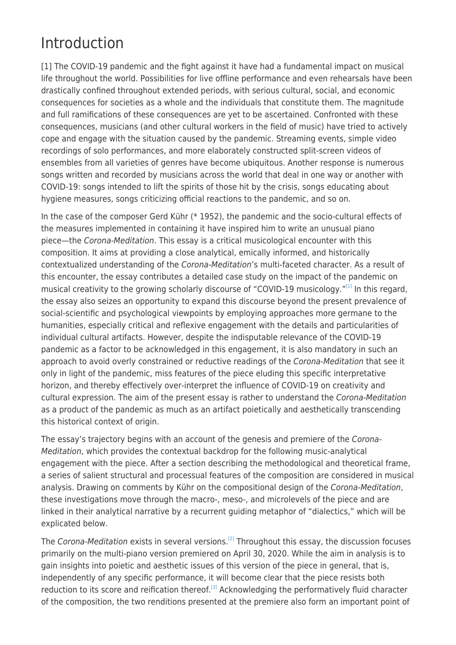# Introduction

[1] The COVID-19 pandemic and the fight against it have had a fundamental impact on musical life throughout the world. Possibilities for live offline performance and even rehearsals have been drastically confined throughout extended periods, with serious cultural, social, and economic consequences for societies as a whole and the individuals that constitute them. The magnitude and full ramifications of these consequences are yet to be ascertained. Confronted with these consequences, musicians (and other cultural workers in the field of music) have tried to actively cope and engage with the situation caused by the pandemic. Streaming events, simple video recordings of solo performances, and more elaborately constructed split-screen videos of ensembles from all varieties of genres have become ubiquitous. Another response is numerous songs written and recorded by musicians across the world that deal in one way or another with COVID-19: songs intended to lift the spirits of those hit by the crisis, songs educating about hygiene measures, songs criticizing official reactions to the pandemic, and so on.

In the case of the composer Gerd Kühr (\* 1952), the pandemic and the socio-cultural effects of the measures implemented in containing it have inspired him to write an unusual piano piece—the Corona-Meditation. This essay is a critical musicological encounter with this composition. It aims at providing a close analytical, emically informed, and historically contextualized understanding of the Corona-Meditation's multi-faceted character. As a result of this encounter, the essay contributes a detailed case study on the impact of the pandemic on musical creativity to the growing scholarly discourse of "COVID-19 musicology."[\[1\]](#page--1-0) In this regard, the essay also seizes an opportunity to expand this discourse beyond the present prevalence of social-scientific and psychological viewpoints by employing approaches more germane to the humanities, especially critical and reflexive engagement with the details and particularities of individual cultural artifacts. However, despite the indisputable relevance of the COVID-19 pandemic as a factor to be acknowledged in this engagement, it is also mandatory in such an approach to avoid overly constrained or reductive readings of the Corona-Meditation that see it only in light of the pandemic, miss features of the piece eluding this specific interpretative horizon, and thereby effectively over-interpret the influence of COVID-19 on creativity and cultural expression. The aim of the present essay is rather to understand the Corona-Meditation as a product of the pandemic as much as an artifact poietically and aesthetically transcending this historical context of origin.

The essay's trajectory begins with an account of the genesis and premiere of the Corona-Meditation, which provides the contextual backdrop for the following music-analytical engagement with the piece. After a section describing the methodological and theoretical frame, a series of salient structural and processual features of the composition are considered in musical analysis. Drawing on comments by Kühr on the compositional design of the Corona-Meditation, these investigations move through the macro-, meso-, and microlevels of the piece and are linked in their analytical narrative by a recurrent guiding metaphor of "dialectics," which will be explicated below.

The Corona-Meditation exists in several versions.<sup>[\[2\]](#page--1-0)</sup> Throughout this essay, the discussion focuses primarily on the multi-piano version premiered on April 30, 2020. While the aim in analysis is to gain insights into poietic and aesthetic issues of this version of the piece in general, that is, independently of any specific performance, it will become clear that the piece resists both reduction to its score and reification thereof.<sup>[\[3\]](#page--1-0)</sup> Acknowledging the performatively fluid character of the composition, the two renditions presented at the premiere also form an important point of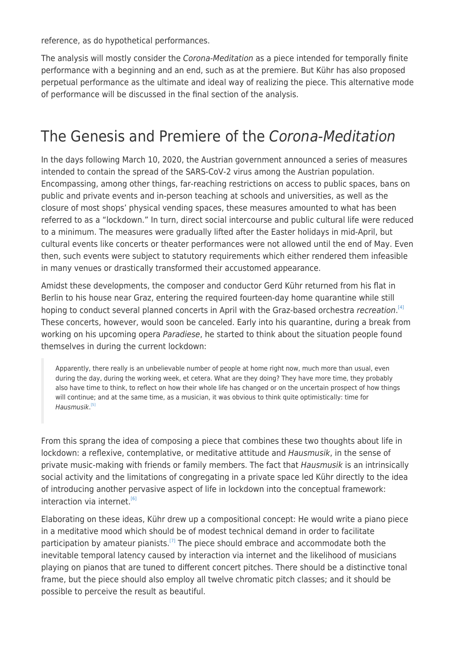reference, as do hypothetical performances.

The analysis will mostly consider the Corona-Meditation as a piece intended for temporally finite performance with a beginning and an end, such as at the premiere. But Kühr has also proposed perpetual performance as the ultimate and ideal way of realizing the piece. This alternative mode of performance will be discussed in the final section of the analysis.

# The Genesis and Premiere of the Corona-Meditation

In the days following March 10, 2020, the Austrian government announced a series of measures intended to contain the spread of the SARS-CoV-2 virus among the Austrian population. Encompassing, among other things, far-reaching restrictions on access to public spaces, bans on public and private events and in-person teaching at schools and universities, as well as the closure of most shops' physical vending spaces, these measures amounted to what has been referred to as a "lockdown." In turn, direct social intercourse and public cultural life were reduced to a minimum. The measures were gradually lifted after the Easter holidays in mid-April, but cultural events like concerts or theater performances were not allowed until the end of May. Even then, such events were subject to statutory requirements which either rendered them infeasible in many venues or drastically transformed their accustomed appearance.

Amidst these developments, the composer and conductor Gerd Kühr returned from his flat in Berlin to his house near Graz, entering the required fourteen-day home quarantine while still hoping to conduct several planned concerts in April with the Graz-based orchestra recreation.<sup>[\[4\]](#page--1-0)</sup> These concerts, however, would soon be canceled. Early into his quarantine, during a break from working on his upcoming opera Paradiese, he started to think about the situation people found themselves in during the current lockdown:

Apparently, there really is an unbelievable number of people at home right now, much more than usual, even during the day, during the working week, et cetera. What are they doing? They have more time, they probably also have time to think, to reflect on how their whole life has changed or on the uncertain prospect of how things will continue; and at the same time, as a musician, it was obvious to think quite optimistically: time for Hausmusik. [\[5\]](#page--1-0)

From this sprang the idea of composing a piece that combines these two thoughts about life in lockdown: a reflexive, contemplative, or meditative attitude and *Hausmusik*, in the sense of private music-making with friends or family members. The fact that Hausmusik is an intrinsically social activity and the limitations of congregating in a private space led Kühr directly to the idea of introducing another pervasive aspect of life in lockdown into the conceptual framework:  $interactions$  via internet.<sup>[\[6\]](#page--1-0)</sup>

Elaborating on these ideas, Kühr drew up a compositional concept: He would write a piano piece in a meditative mood which should be of modest technical demand in order to facilitate participation by amateur pianists.<sup>[\[7\]](#page--1-0)</sup> The piece should embrace and accommodate both the inevitable temporal latency caused by interaction via internet and the likelihood of musicians playing on pianos that are tuned to different concert pitches. There should be a distinctive tonal frame, but the piece should also employ all twelve chromatic pitch classes; and it should be possible to perceive the result as beautiful.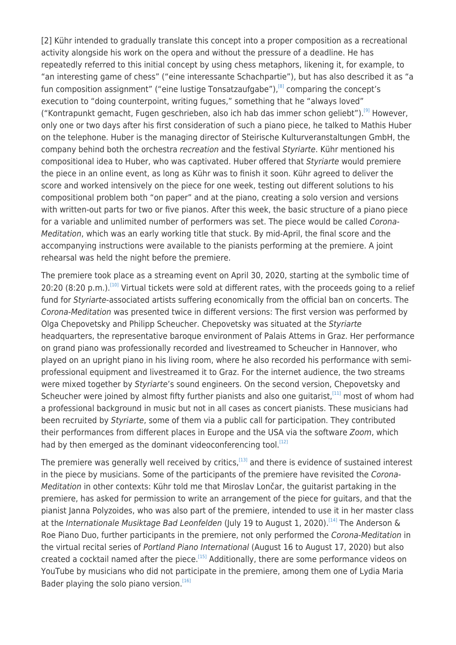[2] Kühr intended to gradually translate this concept into a proper composition as a recreational activity alongside his work on the opera and without the pressure of a deadline. He has repeatedly referred to this initial concept by using chess metaphors, likening it, for example, to "an interesting game of chess" ("eine interessante Schachpartie"), but has also described it as "a fun composition assignment" ("eine lustige Tonsatzaufgabe"), $^{[8]}$  $^{[8]}$  $^{[8]}$  comparing the concept's execution to "doing counterpoint, writing fugues," something that he "always loved" ("Kontrapunkt gemacht, Fugen geschrieben, also ich hab das immer schon geliebt").<sup>[\[9\]](#page--1-0)</sup> However, only one or two days after his first consideration of such a piano piece, he talked to Mathis Huber on the telephone. Huber is the managing director of Steirische Kulturveranstaltungen GmbH, the company behind both the orchestra recreation and the festival Styriarte. Kühr mentioned his compositional idea to Huber, who was captivated. Huber offered that Styriarte would premiere the piece in an online event, as long as Kühr was to finish it soon. Kühr agreed to deliver the score and worked intensively on the piece for one week, testing out different solutions to his compositional problem both "on paper" and at the piano, creating a solo version and versions with written-out parts for two or five pianos. After this week, the basic structure of a piano piece for a variable and unlimited number of performers was set. The piece would be called Corona-Meditation, which was an early working title that stuck. By mid-April, the final score and the accompanying instructions were available to the pianists performing at the premiere. A joint rehearsal was held the night before the premiere.

The premiere took place as a streaming event on April 30, 2020, starting at the symbolic time of 20:20 (8:20 p.m.).<sup>[\[10\]](#page--1-0)</sup> Virtual tickets were sold at different rates, with the proceeds going to a relief fund for Styriarte-associated artists suffering economically from the official ban on concerts. The Corona-Meditation was presented twice in different versions: The first version was performed by Olga Chepovetsky and Philipp Scheucher. Chepovetsky was situated at the Styriarte headquarters, the representative baroque environment of Palais Attems in Graz. Her performance on grand piano was professionally recorded and livestreamed to Scheucher in Hannover, who played on an upright piano in his living room, where he also recorded his performance with semiprofessional equipment and livestreamed it to Graz. For the internet audience, the two streams were mixed together by Styriarte's sound engineers. On the second version, Chepovetsky and Scheucher were joined by almost fifty further pianists and also one quitarist,<sup>[\[11\]](#page--1-0)</sup> most of whom had a professional background in music but not in all cases as concert pianists. These musicians had been recruited by Styriarte, some of them via a public call for participation. They contributed their performances from different places in Europe and the USA via the software Zoom, which had by then emerged as the dominant videoconferencing tool.<sup>[\[12\]](#page--1-0)</sup>

The premiere was generally well received by critics,<sup>[\[13\]](#page--1-0)</sup> and there is evidence of sustained interest in the piece by musicians. Some of the participants of the premiere have revisited the Corona-Meditation in other contexts: Kühr told me that Miroslav Lončar, the guitarist partaking in the premiere, has asked for permission to write an arrangement of the piece for guitars, and that the pianist Janna Polyzoides, who was also part of the premiere, intended to use it in her master class at the Internationale Musiktage Bad Leonfelden (July 19 to August 1, 2020).<sup>[\[14\]](#page--1-0)</sup> The Anderson & Roe Piano Duo, further participants in the premiere, not only performed the Corona-Meditation in the virtual recital series of Portland Piano International (August 16 to August 17, 2020) but also created a cocktail named after the piece.<sup>[\[15\]](#page--1-0)</sup> Additionally, there are some performance videos on YouTube by musicians who did not participate in the premiere, among them one of Lydia Maria Bader playing the solo piano version.<sup>[\[16\]](#page--1-0)</sup>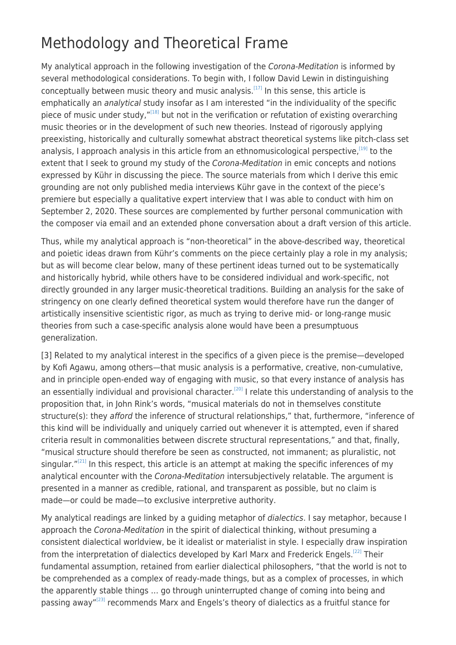# Methodology and Theoretical Frame

My analytical approach in the following investigation of the Corona-Meditation is informed by several methodological considerations. To begin with, I follow David Lewin in distinguishing conceptually between music theory and music analysis.[\[17\]](#page--1-0) In this sense, this article is emphatically an analytical study insofar as I am interested "in the individuality of the specific piece of music under study,"[\[18\]](#page--1-0) but not in the verification or refutation of existing overarching music theories or in the development of such new theories. Instead of rigorously applying preexisting, historically and culturally somewhat abstract theoretical systems like pitch-class set analysis, I approach analysis in this article from an ethnomusicological perspective,<sup>[\[19\]](#page--1-0)</sup> to the extent that I seek to ground my study of the Corona-Meditation in emic concepts and notions expressed by Kühr in discussing the piece. The source materials from which I derive this emic grounding are not only published media interviews Kühr gave in the context of the piece's premiere but especially a qualitative expert interview that I was able to conduct with him on September 2, 2020. These sources are complemented by further personal communication with the composer via email and an extended phone conversation about a draft version of this article.

Thus, while my analytical approach is "non-theoretical" in the above-described way, theoretical and poietic ideas drawn from Kühr's comments on the piece certainly play a role in my analysis; but as will become clear below, many of these pertinent ideas turned out to be systematically and historically hybrid, while others have to be considered individual and work-specific, not directly grounded in any larger music-theoretical traditions. Building an analysis for the sake of stringency on one clearly defined theoretical system would therefore have run the danger of artistically insensitive scientistic rigor, as much as trying to derive mid- or long-range music theories from such a case-specific analysis alone would have been a presumptuous generalization.

[3] Related to my analytical interest in the specifics of a given piece is the premise—developed by Kofi Agawu, among others—that music analysis is a performative, creative, non-cumulative, and in principle open-ended way of engaging with music, so that every instance of analysis has an essentially individual and provisional character.<sup>[\[20\]](#page--1-0)</sup> I relate this understanding of analysis to the proposition that, in John Rink's words, "musical materials do not in themselves constitute structure(s): they afford the inference of structural relationships," that, furthermore, "inference of this kind will be individually and uniquely carried out whenever it is attempted, even if shared criteria result in commonalities between discrete structural representations," and that, finally, "musical structure should therefore be seen as constructed, not immanent; as pluralistic, not singular. $"^{[21]}$  $"^{[21]}$  $"^{[21]}$  In this respect, this article is an attempt at making the specific inferences of my analytical encounter with the Corona-Meditation intersubjectively relatable. The argument is presented in a manner as credible, rational, and transparent as possible, but no claim is made—or could be made—to exclusive interpretive authority.

My analytical readings are linked by a quiding metaphor of *dialectics*. I say metaphor, because I approach the Corona-Meditation in the spirit of dialectical thinking, without presuming a consistent dialectical worldview, be it idealist or materialist in style. I especially draw inspiration from the interpretation of dialectics developed by Karl Marx and Frederick Engels.<sup>[\[22\]](#page--1-0)</sup> Their fundamental assumption, retained from earlier dialectical philosophers, "that the world is not to be comprehended as a complex of ready-made things, but as a complex of processes, in which the apparently stable things … go through uninterrupted change of coming into being and passing away"<sup>[\[23\]](#page--1-0)</sup> recommends Marx and Engels's theory of dialectics as a fruitful stance for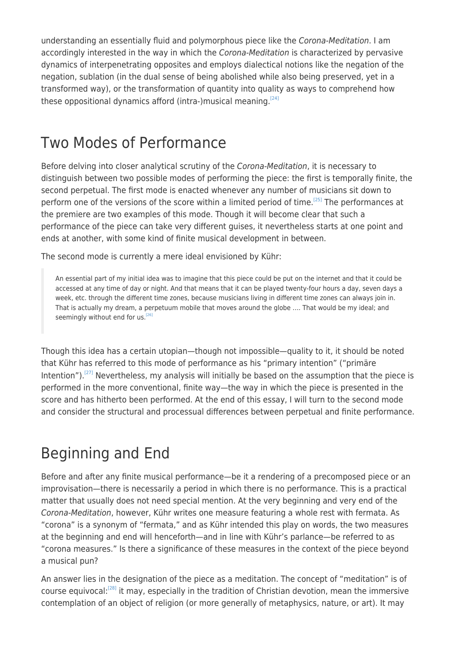understanding an essentially fluid and polymorphous piece like the Corona-Meditation. I am accordingly interested in the way in which the Corona-Meditation is characterized by pervasive dynamics of interpenetrating opposites and employs dialectical notions like the negation of the negation, sublation (in the dual sense of being abolished while also being preserved, yet in a transformed way), or the transformation of quantity into quality as ways to comprehend how these oppositional dynamics afford (intra-)musical meaning.<sup>[\[24\]](#page--1-0)</sup>

### Two Modes of Performance

Before delving into closer analytical scrutiny of the Corona-Meditation, it is necessary to distinguish between two possible modes of performing the piece: the first is temporally finite, the second perpetual. The first mode is enacted whenever any number of musicians sit down to perform one of the versions of the score within a limited period of time.<sup>[\[25\]](#page--1-0)</sup> The performances at the premiere are two examples of this mode. Though it will become clear that such a performance of the piece can take very different guises, it nevertheless starts at one point and ends at another, with some kind of finite musical development in between.

The second mode is currently a mere ideal envisioned by Kühr:

An essential part of my initial idea was to imagine that this piece could be put on the internet and that it could be accessed at any time of day or night. And that means that it can be played twenty-four hours a day, seven days a week, etc. through the different time zones, because musicians living in different time zones can always join in. That is actually my dream, a perpetuum mobile that moves around the globe …. That would be my ideal; and seemingly without end for us.<sup>[\[26\]](#page--1-0)</sup>

Though this idea has a certain utopian—though not impossible—quality to it, it should be noted that Kühr has referred to this mode of performance as his "primary intention" ("primäre Intention").<sup>[\[27\]](#page--1-0)</sup> Nevertheless, my analysis will initially be based on the assumption that the piece is performed in the more conventional, finite way—the way in which the piece is presented in the score and has hitherto been performed. At the end of this essay, I will turn to the second mode and consider the structural and processual differences between perpetual and finite performance.

# Beginning and End

Before and after any finite musical performance—be it a rendering of a precomposed piece or an improvisation—there is necessarily a period in which there is no performance. This is a practical matter that usually does not need special mention. At the very beginning and very end of the Corona-Meditation, however, Kühr writes one measure featuring a whole rest with fermata. As "corona" is a synonym of "fermata," and as Kühr intended this play on words, the two measures at the beginning and end will henceforth—and in line with Kühr's parlance—be referred to as "corona measures." Is there a significance of these measures in the context of the piece beyond a musical pun?

An answer lies in the designation of the piece as a meditation. The concept of "meditation" is of course equivocal:[\[28\]](#page--1-0) it may, especially in the tradition of Christian devotion, mean the immersive contemplation of an object of religion (or more generally of metaphysics, nature, or art). It may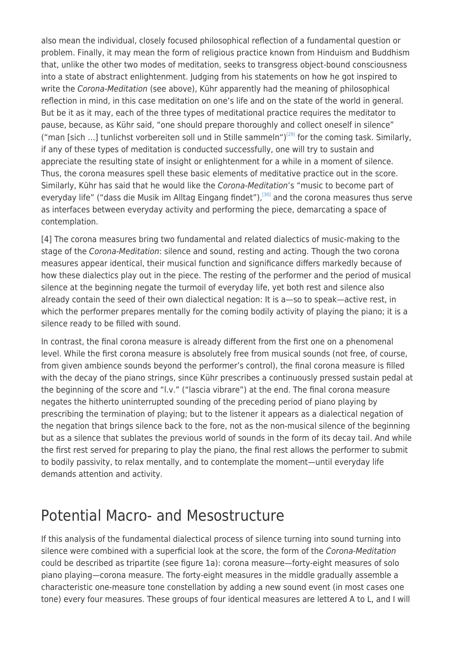also mean the individual, closely focused philosophical reflection of a fundamental question or problem. Finally, it may mean the form of religious practice known from Hinduism and Buddhism that, unlike the other two modes of meditation, seeks to transgress object-bound consciousness into a state of abstract enlightenment. Judging from his statements on how he got inspired to write the Corona-Meditation (see above), Kühr apparently had the meaning of philosophical reflection in mind, in this case meditation on one's life and on the state of the world in general. But be it as it may, each of the three types of meditational practice requires the meditator to pause, because, as Kühr said, "one should prepare thoroughly and collect oneself in silence" ("man [sich ...] tunlichst vorbereiten soll und in Stille sammeln")<sup>[\[29\]](#page--1-0)</sup> for the coming task. Similarly, if any of these types of meditation is conducted successfully, one will try to sustain and appreciate the resulting state of insight or enlightenment for a while in a moment of silence. Thus, the corona measures spell these basic elements of meditative practice out in the score. Similarly, Kühr has said that he would like the Corona-Meditation's "music to become part of everyday life" ("dass die Musik im Alltag Eingang findet"),<sup>[\[30\]](#page--1-0)</sup> and the corona measures thus serve as interfaces between everyday activity and performing the piece, demarcating a space of contemplation.

[4] The corona measures bring two fundamental and related dialectics of music-making to the stage of the Corona-Meditation: silence and sound, resting and acting. Though the two corona measures appear identical, their musical function and significance differs markedly because of how these dialectics play out in the piece. The resting of the performer and the period of musical silence at the beginning negate the turmoil of everyday life, yet both rest and silence also already contain the seed of their own dialectical negation: It is a—so to speak—active rest, in which the performer prepares mentally for the coming bodily activity of playing the piano; it is a silence ready to be filled with sound.

In contrast, the final corona measure is already different from the first one on a phenomenal level. While the first corona measure is absolutely free from musical sounds (not free, of course, from given ambience sounds beyond the performer's control), the final corona measure is filled with the decay of the piano strings, since Kühr prescribes a continuously pressed sustain pedal at the beginning of the score and "l.v." ("lascia vibrare") at the end. The final corona measure negates the hitherto uninterrupted sounding of the preceding period of piano playing by prescribing the termination of playing; but to the listener it appears as a dialectical negation of the negation that brings silence back to the fore, not as the non-musical silence of the beginning but as a silence that sublates the previous world of sounds in the form of its decay tail. And while the first rest served for preparing to play the piano, the final rest allows the performer to submit to bodily passivity, to relax mentally, and to contemplate the moment—until everyday life demands attention and activity.

#### Potential Macro- and Mesostructure

If this analysis of the fundamental dialectical process of silence turning into sound turning into silence were combined with a superficial look at the score, the form of the Corona-Meditation could be described as tripartite (see figure 1a): corona measure—forty-eight measures of solo piano playing—corona measure. The forty-eight measures in the middle gradually assemble a characteristic one-measure tone constellation by adding a new sound event (in most cases one tone) every four measures. These groups of four identical measures are lettered A to L, and I will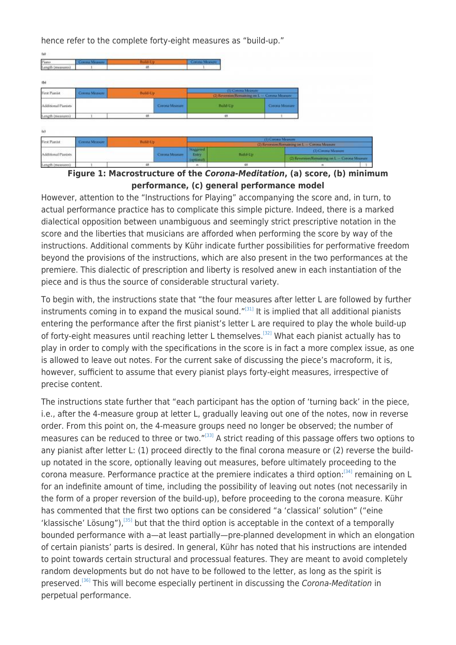hence refer to the complete forty-eight measures as "build-up."

| fab                         |                                  |           |                |                                              |                 |                    |                                               |
|-----------------------------|----------------------------------|-----------|----------------|----------------------------------------------|-----------------|--------------------|-----------------------------------------------|
| Piano                       | Conna Mosum<br>Build-Up.         |           | Corona Measure |                                              |                 |                    |                                               |
| Length (measures)           | 48                               |           |                |                                              |                 |                    |                                               |
| (b)                         |                                  |           |                |                                              |                 |                    |                                               |
| <b>First Pianist</b>        | <b>Build-Up</b><br>Comma Measure |           |                | (1) Corona Measure                           |                 |                    |                                               |
|                             |                                  |           |                | (2) Revenue Barnaming on L - Commo Mussons   |                 |                    |                                               |
| Additional Pianists         |                                  |           | Corona Measure |                                              | <b>Build-Up</b> | Coona Measure      |                                               |
| Length (measures)           |                                  | 46        |                |                                              | 48              |                    |                                               |
| tel<br><b>First Planist</b> |                                  |           |                |                                              |                 | (1) Consul Measure |                                               |
|                             | Corona Measure                   | Build-Up: |                | (2) Revenues/Remaining in L - Corona Measure |                 |                    |                                               |
| Additional Pianists         |                                  |           |                | <b>Staggered</b>                             |                 |                    | (1) Corona Measure                            |
|                             |                                  |           | Corona Measure | Build-Up<br><b>Entry</b><br>TopHonall.       |                 |                    | (2) Heyerson Remaining in L - Creoria Measure |

**Figure 1: Macrostructure of the** *Corona-Meditation***, (a) score, (b) minimum performance, (c) general performance model**

However, attention to the "Instructions for Playing" accompanying the score and, in turn, to actual performance practice has to complicate this simple picture. Indeed, there is a marked dialectical opposition between unambiguous and seemingly strict prescriptive notation in the score and the liberties that musicians are afforded when performing the score by way of the instructions. Additional comments by Kühr indicate further possibilities for performative freedom beyond the provisions of the instructions, which are also present in the two performances at the premiere. This dialectic of prescription and liberty is resolved anew in each instantiation of the piece and is thus the source of considerable structural variety.

To begin with, the instructions state that "the four measures after letter L are followed by further instruments coming in to expand the musical sound." $[31]$  It is implied that all additional pianists entering the performance after the first pianist's letter L are required to play the whole build-up of forty-eight measures until reaching letter L themselves.<sup>[\[32\]](#page--1-0)</sup> What each pianist actually has to play in order to comply with the specifications in the score is in fact a more complex issue, as one is allowed to leave out notes. For the current sake of discussing the piece's macroform, it is, however, sufficient to assume that every pianist plays forty-eight measures, irrespective of precise content.

The instructions state further that "each participant has the option of 'turning back' in the piece, i.e., after the 4-measure group at letter L, gradually leaving out one of the notes, now in reverse order. From this point on, the 4-measure groups need no longer be observed; the number of measures can be reduced to three or two."[\[33\]](#page--1-0) A strict reading of this passage offers two options to any pianist after letter L: (1) proceed directly to the final corona measure or (2) reverse the buildup notated in the score, optionally leaving out measures, before ultimately proceeding to the corona measure. Performance practice at the premiere indicates a third option:[\[34\]](#page--1-0) remaining on L for an indefinite amount of time, including the possibility of leaving out notes (not necessarily in the form of a proper reversion of the build-up), before proceeding to the corona measure. Kühr has commented that the first two options can be considered "a 'classical' solution" ("eine 'klassische' Lösung"), $[35]$  but that the third option is acceptable in the context of a temporally bounded performance with a—at least partially—pre-planned development in which an elongation of certain pianists' parts is desired. In general, Kühr has noted that his instructions are intended to point towards certain structural and processual features. They are meant to avoid completely random developments but do not have to be followed to the letter, as long as the spirit is preserved.<sup>[\[36\]](#page--1-0)</sup> This will become especially pertinent in discussing the Corona-Meditation in perpetual performance.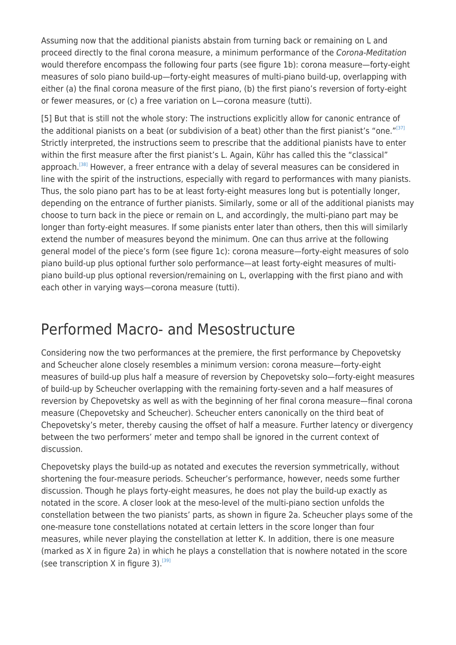Assuming now that the additional pianists abstain from turning back or remaining on L and proceed directly to the final corona measure, a minimum performance of the Corona-Meditation would therefore encompass the following four parts (see figure 1b): corona measure—forty-eight measures of solo piano build-up—forty-eight measures of multi-piano build-up, overlapping with either (a) the final corona measure of the first piano, (b) the first piano's reversion of forty-eight or fewer measures, or (c) a free variation on L—corona measure (tutti).

[5] But that is still not the whole story: The instructions explicitly allow for canonic entrance of the additional pianists on a beat (or subdivision of a beat) other than the first pianist's "one."<sup>[\[37\]](#page--1-0)</sup> Strictly interpreted, the instructions seem to prescribe that the additional pianists have to enter within the first measure after the first pianist's L. Again, Kühr has called this the "classical" approach.<sup>[\[38\]](#page--1-0)</sup> However, a freer entrance with a delay of several measures can be considered in line with the spirit of the instructions, especially with regard to performances with many pianists. Thus, the solo piano part has to be at least forty-eight measures long but is potentially longer, depending on the entrance of further pianists. Similarly, some or all of the additional pianists may choose to turn back in the piece or remain on L, and accordingly, the multi-piano part may be longer than forty-eight measures. If some pianists enter later than others, then this will similarly extend the number of measures beyond the minimum. One can thus arrive at the following general model of the piece's form (see figure 1c): corona measure—forty-eight measures of solo piano build-up plus optional further solo performance—at least forty-eight measures of multipiano build-up plus optional reversion/remaining on L, overlapping with the first piano and with each other in varying ways—corona measure (tutti).

### Performed Macro- and Mesostructure

Considering now the two performances at the premiere, the first performance by Chepovetsky and Scheucher alone closely resembles a minimum version: corona measure—forty-eight measures of build-up plus half a measure of reversion by Chepovetsky solo—forty-eight measures of build-up by Scheucher overlapping with the remaining forty-seven and a half measures of reversion by Chepovetsky as well as with the beginning of her final corona measure—final corona measure (Chepovetsky and Scheucher). Scheucher enters canonically on the third beat of Chepovetsky's meter, thereby causing the offset of half a measure. Further latency or divergency between the two performers' meter and tempo shall be ignored in the current context of discussion.

Chepovetsky plays the build-up as notated and executes the reversion symmetrically, without shortening the four-measure periods. Scheucher's performance, however, needs some further discussion. Though he plays forty-eight measures, he does not play the build-up exactly as notated in the score. A closer look at the meso-level of the multi-piano section unfolds the constellation between the two pianists' parts, as shown in figure 2a. Scheucher plays some of the one-measure tone constellations notated at certain letters in the score longer than four measures, while never playing the constellation at letter K. In addition, there is one measure (marked as X in figure 2a) in which he plays a constellation that is nowhere notated in the score (see transcription X in figure 3).<sup>[\[39\]](#page--1-0)</sup>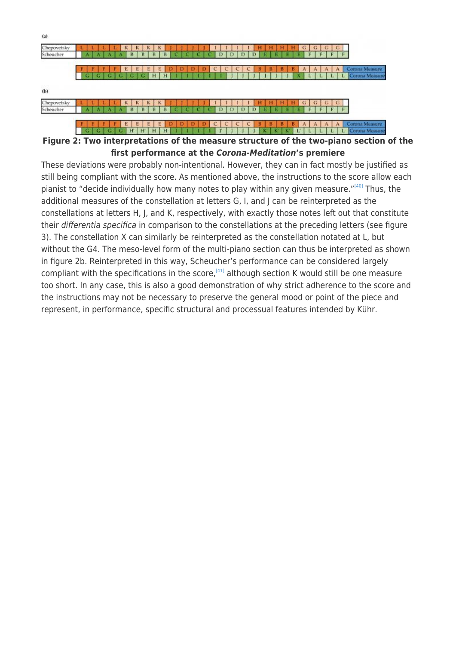

**Figure 2: Two interpretations of the measure structure of the two-piano section of the first performance at the** *Corona-Meditation***'s premiere**

These deviations were probably non-intentional. However, they can in fact mostly be justified as still being compliant with the score. As mentioned above, the instructions to the score allow each pianist to "decide individually how many notes to play within any given measure."<sup>[\[40\]](#page--1-0)</sup> Thus, the additional measures of the constellation at letters G, I, and J can be reinterpreted as the constellations at letters H, J, and K, respectively, with exactly those notes left out that constitute their differentia specifica in comparison to the constellations at the preceding letters (see figure 3). The constellation X can similarly be reinterpreted as the constellation notated at L, but without the G4. The meso-level form of the multi-piano section can thus be interpreted as shown in figure 2b. Reinterpreted in this way, Scheucher's performance can be considered largely compliant with the specifications in the score.<sup>[\[41\]](#page--1-0)</sup> although section K would still be one measure too short. In any case, this is also a good demonstration of why strict adherence to the score and the instructions may not be necessary to preserve the general mood or point of the piece and represent, in performance, specific structural and processual features intended by Kühr.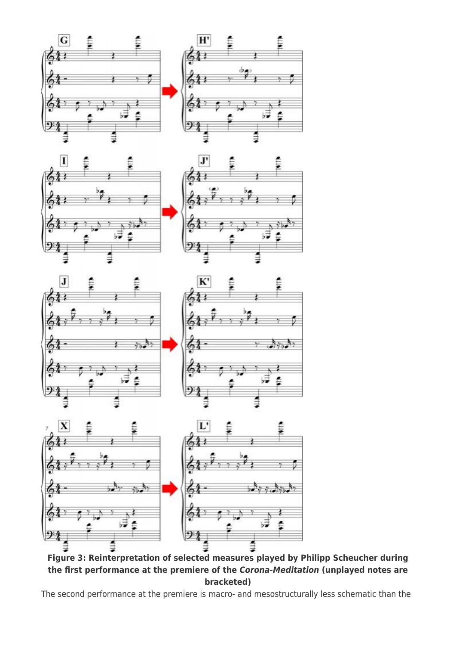









**Figure 3: Reinterpretation of selected measures played by Philipp Scheucher during the first performance at the premiere of the** *Corona-Meditation* **(unplayed notes are bracketed)**

The second performance at the premiere is macro- and mesostructurally less schematic than the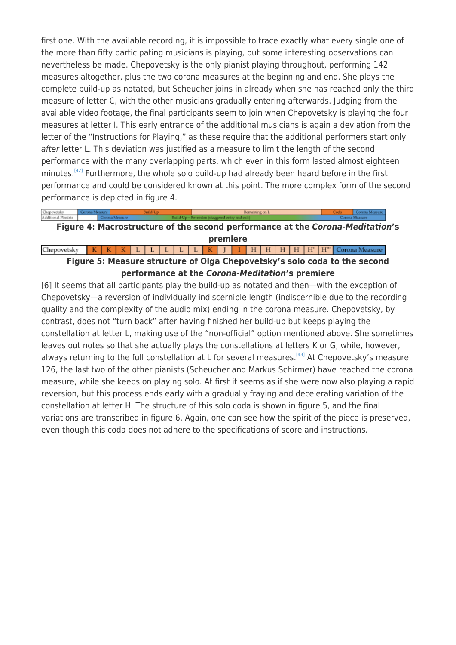first one. With the available recording, it is impossible to trace exactly what every single one of the more than fifty participating musicians is playing, but some interesting observations can nevertheless be made. Chepovetsky is the only pianist playing throughout, performing 142 measures altogether, plus the two corona measures at the beginning and end. She plays the complete build-up as notated, but Scheucher joins in already when she has reached only the third measure of letter C, with the other musicians gradually entering afterwards. Judging from the available video footage, the final participants seem to join when Chepovetsky is playing the four measures at letter I. This early entrance of the additional musicians is again a deviation from the letter of the "Instructions for Playing," as these require that the additional performers start only after letter L. This deviation was justified as a measure to limit the length of the second performance with the many overlapping parts, which even in this form lasted almost eighteen minutes.<sup>[\[42\]](#page--1-0)</sup> Furthermore, the whole solo build-up had already been heard before in the first performance and could be considered known at this point. The more complex form of the second performance is depicted in figure 4.

Chepovetsky<br>Additional Pianists **Figure 4: Macrostructure of the second performance at the** *Corona-Meditation***'s premiere** Chepovetsky I | H | H | H | H | H | H | H | Corona Measure К  $\mathbf{L}$  $L$  $-L$  $\mathbf{L}$  $\mathbf{L}$  $\bf K$  $\Box$ **Figure 5: Measure structure of Olga Chepovetsky's solo coda to the second**

**performance at the** *Corona-Meditation***'s premiere** [6] It seems that all participants play the build-up as notated and then—with the exception of Chepovetsky—a reversion of individually indiscernible length (indiscernible due to the recording quality and the complexity of the audio mix) ending in the corona measure. Chepovetsky, by contrast, does not "turn back" after having finished her build-up but keeps playing the constellation at letter L, making use of the "non-official" option mentioned above. She sometimes leaves out notes so that she actually plays the constellations at letters K or G, while, however, always returning to the full constellation at L for several measures.<sup>[\[43\]](#page--1-0)</sup> At Chepovetsky's measure 126, the last two of the other pianists (Scheucher and Markus Schirmer) have reached the corona measure, while she keeps on playing solo. At first it seems as if she were now also playing a rapid reversion, but this process ends early with a gradually fraying and decelerating variation of the constellation at letter H. The structure of this solo coda is shown in figure 5, and the final variations are transcribed in figure 6. Again, one can see how the spirit of the piece is preserved, even though this coda does not adhere to the specifications of score and instructions.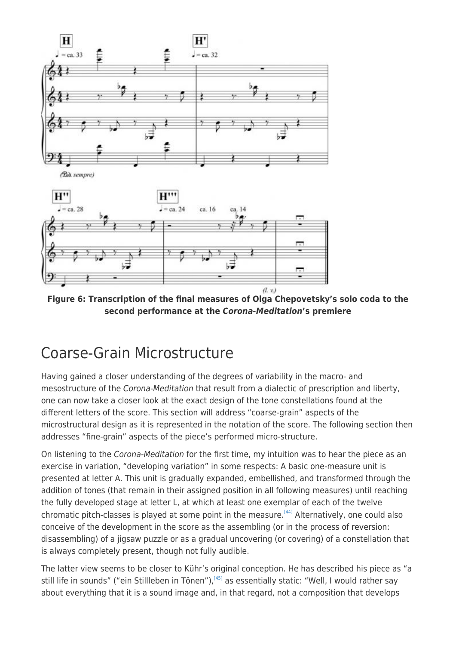

**Figure 6: Transcription of the final measures of Olga Chepovetsky's solo coda to the second performance at the** *Corona-Meditation***'s premiere**

## Coarse-Grain Microstructure

Having gained a closer understanding of the degrees of variability in the macro- and mesostructure of the Corona-Meditation that result from a dialectic of prescription and liberty, one can now take a closer look at the exact design of the tone constellations found at the different letters of the score. This section will address "coarse-grain" aspects of the microstructural design as it is represented in the notation of the score. The following section then addresses "fine-grain" aspects of the piece's performed micro-structure.

On listening to the Corona-Meditation for the first time, my intuition was to hear the piece as an exercise in variation, "developing variation" in some respects: A basic one-measure unit is presented at letter A. This unit is gradually expanded, embellished, and transformed through the addition of tones (that remain in their assigned position in all following measures) until reaching the fully developed stage at letter L, at which at least one exemplar of each of the twelve chromatic pitch-classes is played at some point in the measure.<sup>[\[44\]](#page--1-0)</sup> Alternatively, one could also conceive of the development in the score as the assembling (or in the process of reversion: disassembling) of a jigsaw puzzle or as a gradual uncovering (or covering) of a constellation that is always completely present, though not fully audible.

The latter view seems to be closer to Kühr's original conception. He has described his piece as "a still life in sounds" ("ein Stillleben in Tönen"),<sup>[\[45\]](#page--1-0)</sup> as essentially static: "Well, I would rather say about everything that it is a sound image and, in that regard, not a composition that develops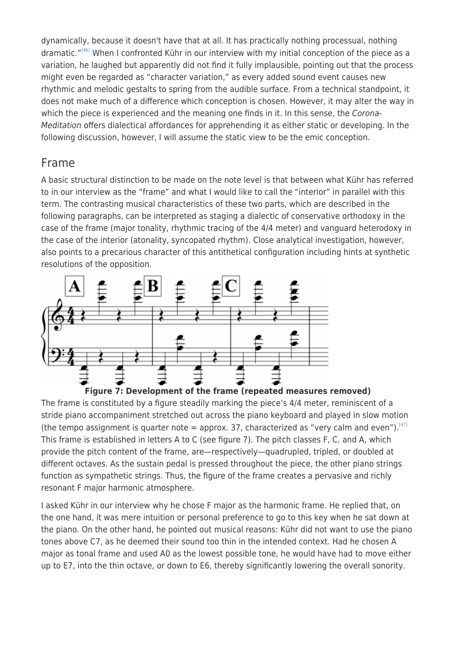dynamically, because it doesn't have that at all. It has practically nothing processual, nothing dramatic."<sup>[\[46\]](#page--1-0)</sup> When I confronted Kühr in our interview with my initial conception of the piece as a variation, he laughed but apparently did not find it fully implausible, pointing out that the process might even be regarded as "character variation," as every added sound event causes new rhythmic and melodic gestalts to spring from the audible surface. From a technical standpoint, it does not make much of a difference which conception is chosen. However, it may alter the way in which the piece is experienced and the meaning one finds in it. In this sense, the Corona-Meditation offers dialectical affordances for apprehending it as either static or developing. In the following discussion, however, I will assume the static view to be the emic conception.

#### Frame

A basic structural distinction to be made on the note level is that between what Kühr has referred to in our interview as the "frame" and what I would like to call the "interior" in parallel with this term. The contrasting musical characteristics of these two parts, which are described in the following paragraphs, can be interpreted as staging a dialectic of conservative orthodoxy in the case of the frame (major tonality, rhythmic tracing of the 4/4 meter) and vanguard heterodoxy in the case of the interior (atonality, syncopated rhythm). Close analytical investigation, however, also points to a precarious character of this antithetical configuration including hints at synthetic resolutions of the opposition.





The frame is constituted by a figure steadily marking the piece's 4/4 meter, reminiscent of a stride piano accompaniment stretched out across the piano keyboard and played in slow motion (the tempo assignment is quarter note = approx. 37, characterized as "very calm and even").<sup>[\[47\]](#page--1-0)</sup> This frame is established in letters A to C (see figure 7). The pitch classes F, C, and A, which provide the pitch content of the frame, are—respectively—quadrupled, tripled, or doubled at different octaves. As the sustain pedal is pressed throughout the piece, the other piano strings function as sympathetic strings. Thus, the figure of the frame creates a pervasive and richly resonant F major harmonic atmosphere.

I asked Kühr in our interview why he chose F major as the harmonic frame. He replied that, on the one hand, it was mere intuition or personal preference to go to this key when he sat down at the piano. On the other hand, he pointed out musical reasons: Kühr did not want to use the piano tones above C7, as he deemed their sound too thin in the intended context. Had he chosen A major as tonal frame and used A0 as the lowest possible tone, he would have had to move either up to E7, into the thin octave, or down to E6, thereby significantly lowering the overall sonority.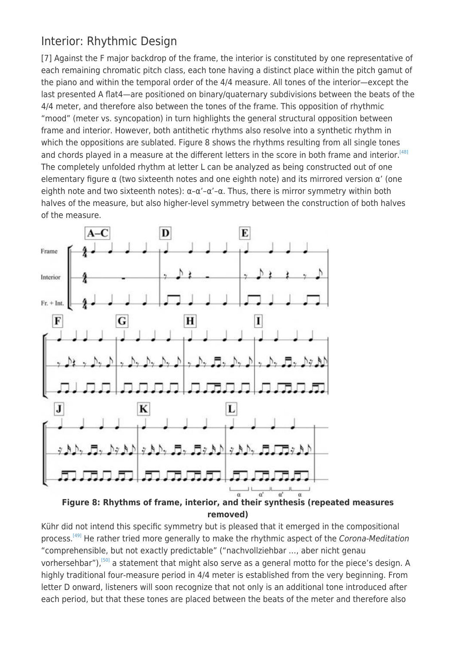#### Interior: Rhythmic Design

[7] Against the F major backdrop of the frame, the interior is constituted by one representative of each remaining chromatic pitch class, each tone having a distinct place within the pitch gamut of the piano and within the temporal order of the 4/4 measure. All tones of the interior—except the last presented A flat4—are positioned on binary/quaternary subdivisions between the beats of the 4/4 meter, and therefore also between the tones of the frame. This opposition of rhythmic "mood" (meter vs. syncopation) in turn highlights the general structural opposition between frame and interior. However, both antithetic rhythms also resolve into a synthetic rhythm in which the oppositions are sublated. Figure 8 shows the rhythms resulting from all single tones and chords played in a measure at the different letters in the score in both frame and interior.<sup>[\[48\]](#page--1-0)</sup> The completely unfolded rhythm at letter L can be analyzed as being constructed out of one elementary figure  $\alpha$  (two sixteenth notes and one eighth note) and its mirrored version  $\alpha'$  (one eighth note and two sixteenth notes):  $\alpha-\alpha'-\alpha$ . Thus, there is mirror symmetry within both halves of the measure, but also higher-level symmetry between the construction of both halves of the measure.



**Figure 8: Rhythms of frame, interior, and their synthesis (repeated measures removed)**

Kühr did not intend this specific symmetry but is pleased that it emerged in the compositional process.<sup>[\[49\]](#page--1-0)</sup> He rather tried more generally to make the rhythmic aspect of the Corona-Meditation "comprehensible, but not exactly predictable" ("nachvollziehbar …, aber nicht genau vorhersehbar"),<sup>[\[50\]](#page--1-0)</sup> a statement that might also serve as a general motto for the piece's design. A highly traditional four-measure period in 4/4 meter is established from the very beginning. From letter D onward, listeners will soon recognize that not only is an additional tone introduced after each period, but that these tones are placed between the beats of the meter and therefore also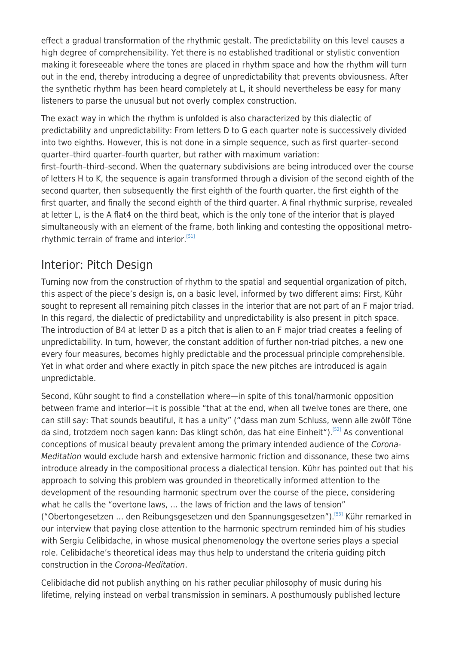effect a gradual transformation of the rhythmic gestalt. The predictability on this level causes a high degree of comprehensibility. Yet there is no established traditional or stylistic convention making it foreseeable where the tones are placed in rhythm space and how the rhythm will turn out in the end, thereby introducing a degree of unpredictability that prevents obviousness. After the synthetic rhythm has been heard completely at L, it should nevertheless be easy for many listeners to parse the unusual but not overly complex construction.

The exact way in which the rhythm is unfolded is also characterized by this dialectic of predictability and unpredictability: From letters D to G each quarter note is successively divided into two eighths. However, this is not done in a simple sequence, such as first quarter–second quarter–third quarter–fourth quarter, but rather with maximum variation: first–fourth–third–second. When the quaternary subdivisions are being introduced over the course

of letters H to K, the sequence is again transformed through a division of the second eighth of the second quarter, then subsequently the first eighth of the fourth quarter, the first eighth of the first quarter, and finally the second eighth of the third quarter. A final rhythmic surprise, revealed at letter L, is the A flat4 on the third beat, which is the only tone of the interior that is played simultaneously with an element of the frame, both linking and contesting the oppositional metro-rhythmic terrain of frame and interior.<sup>[\[51\]](#page--1-0)</sup>

#### Interior: Pitch Design

Turning now from the construction of rhythm to the spatial and sequential organization of pitch, this aspect of the piece's design is, on a basic level, informed by two different aims: First, Kühr sought to represent all remaining pitch classes in the interior that are not part of an F major triad. In this regard, the dialectic of predictability and unpredictability is also present in pitch space. The introduction of B4 at letter D as a pitch that is alien to an F major triad creates a feeling of unpredictability. In turn, however, the constant addition of further non-triad pitches, a new one every four measures, becomes highly predictable and the processual principle comprehensible. Yet in what order and where exactly in pitch space the new pitches are introduced is again unpredictable.

Second, Kühr sought to find a constellation where—in spite of this tonal/harmonic opposition between frame and interior—it is possible "that at the end, when all twelve tones are there, one can still say: That sounds beautiful, it has a unity" ("dass man zum Schluss, wenn alle zwölf Töne da sind, trotzdem noch sagen kann: Das klingt schön, das hat eine Einheit").<sup>[\[52\]](#page--1-0)</sup> As conventional conceptions of musical beauty prevalent among the primary intended audience of the Corona-Meditation would exclude harsh and extensive harmonic friction and dissonance, these two aims introduce already in the compositional process a dialectical tension. Kühr has pointed out that his approach to solving this problem was grounded in theoretically informed attention to the development of the resounding harmonic spectrum over the course of the piece, considering what he calls the "overtone laws, … the laws of friction and the laws of tension" ("Obertongesetzen … den Reibungsgesetzen und den Spannungsgesetzen").[\[53\]](#page--1-0) Kühr remarked in our interview that paying close attention to the harmonic spectrum reminded him of his studies with Sergiu Celibidache, in whose musical phenomenology the overtone series plays a special role. Celibidache's theoretical ideas may thus help to understand the criteria guiding pitch construction in the Corona-Meditation.

Celibidache did not publish anything on his rather peculiar philosophy of music during his lifetime, relying instead on verbal transmission in seminars. A posthumously published lecture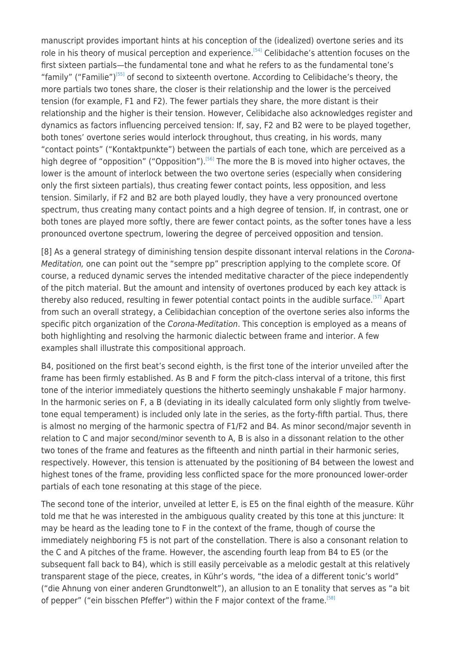manuscript provides important hints at his conception of the (idealized) overtone series and its role in his theory of musical perception and experience.<sup>[\[54\]](#page--1-0)</sup> Celibidache's attention focuses on the first sixteen partials—the fundamental tone and what he refers to as the fundamental tone's "family" ("Familie")<sup>[\[55\]](#page--1-0)</sup> of second to sixteenth overtone. According to Celibidache's theory, the more partials two tones share, the closer is their relationship and the lower is the perceived tension (for example, F1 and F2). The fewer partials they share, the more distant is their relationship and the higher is their tension. However, Celibidache also acknowledges register and dynamics as factors influencing perceived tension: If, say, F2 and B2 were to be played together, both tones' overtone series would interlock throughout, thus creating, in his words, many "contact points" ("Kontaktpunkte") between the partials of each tone, which are perceived as a high degree of "opposition" ("Opposition").<sup>[\[56\]](#page--1-0)</sup> The more the B is moved into higher octaves, the lower is the amount of interlock between the two overtone series (especially when considering only the first sixteen partials), thus creating fewer contact points, less opposition, and less tension. Similarly, if F2 and B2 are both played loudly, they have a very pronounced overtone spectrum, thus creating many contact points and a high degree of tension. If, in contrast, one or both tones are played more softly, there are fewer contact points, as the softer tones have a less pronounced overtone spectrum, lowering the degree of perceived opposition and tension.

[8] As a general strategy of diminishing tension despite dissonant interval relations in the Corona-Meditation, one can point out the "sempre pp" prescription applying to the complete score. Of course, a reduced dynamic serves the intended meditative character of the piece independently of the pitch material. But the amount and intensity of overtones produced by each key attack is thereby also reduced, resulting in fewer potential contact points in the audible surface.<sup>[\[57\]](#page--1-0)</sup> Apart from such an overall strategy, a Celibidachian conception of the overtone series also informs the specific pitch organization of the Corona-Meditation. This conception is employed as a means of both highlighting and resolving the harmonic dialectic between frame and interior. A few examples shall illustrate this compositional approach.

B4, positioned on the first beat's second eighth, is the first tone of the interior unveiled after the frame has been firmly established. As B and F form the pitch-class interval of a tritone, this first tone of the interior immediately questions the hitherto seemingly unshakable F major harmony. In the harmonic series on F, a B (deviating in its ideally calculated form only slightly from twelvetone equal temperament) is included only late in the series, as the forty-fifth partial. Thus, there is almost no merging of the harmonic spectra of F1/F2 and B4. As minor second/major seventh in relation to C and major second/minor seventh to A, B is also in a dissonant relation to the other two tones of the frame and features as the fifteenth and ninth partial in their harmonic series, respectively. However, this tension is attenuated by the positioning of B4 between the lowest and highest tones of the frame, providing less conflicted space for the more pronounced lower-order partials of each tone resonating at this stage of the piece.

The second tone of the interior, unveiled at letter E, is E5 on the final eighth of the measure. Kühr told me that he was interested in the ambiguous quality created by this tone at this juncture: It may be heard as the leading tone to F in the context of the frame, though of course the immediately neighboring F5 is not part of the constellation. There is also a consonant relation to the C and A pitches of the frame. However, the ascending fourth leap from B4 to E5 (or the subsequent fall back to B4), which is still easily perceivable as a melodic gestalt at this relatively transparent stage of the piece, creates, in Kühr's words, "the idea of a different tonic's world" ("die Ahnung von einer anderen Grundtonwelt"), an allusion to an E tonality that serves as "a bit of pepper" ("ein bisschen Pfeffer") within the F major context of the frame.<sup>[\[58\]](#page--1-0)</sup>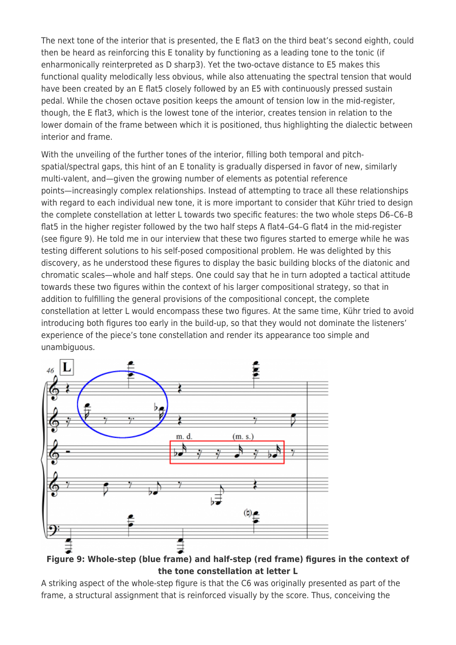The next tone of the interior that is presented, the E flat3 on the third beat's second eighth, could then be heard as reinforcing this E tonality by functioning as a leading tone to the tonic (if enharmonically reinterpreted as D sharp3). Yet the two-octave distance to E5 makes this functional quality melodically less obvious, while also attenuating the spectral tension that would have been created by an E flat5 closely followed by an E5 with continuously pressed sustain pedal. While the chosen octave position keeps the amount of tension low in the mid-register, though, the E flat3, which is the lowest tone of the interior, creates tension in relation to the lower domain of the frame between which it is positioned, thus highlighting the dialectic between interior and frame.

With the unveiling of the further tones of the interior, filling both temporal and pitchspatial/spectral gaps, this hint of an E tonality is gradually dispersed in favor of new, similarly multi-valent, and—given the growing number of elements as potential reference points—increasingly complex relationships. Instead of attempting to trace all these relationships with regard to each individual new tone, it is more important to consider that Kühr tried to design the complete constellation at letter L towards two specific features: the two whole steps D6–C6–B flat5 in the higher register followed by the two half steps A flat4–G4–G flat4 in the mid-register (see figure 9). He told me in our interview that these two figures started to emerge while he was testing different solutions to his self-posed compositional problem. He was delighted by this discovery, as he understood these figures to display the basic building blocks of the diatonic and chromatic scales—whole and half steps. One could say that he in turn adopted a tactical attitude towards these two figures within the context of his larger compositional strategy, so that in addition to fulfilling the general provisions of the compositional concept, the complete constellation at letter L would encompass these two figures. At the same time, Kühr tried to avoid introducing both figures too early in the build-up, so that they would not dominate the listeners' experience of the piece's tone constellation and render its appearance too simple and unambiguous.



**Figure 9: Whole-step (blue frame) and half-step (red frame) figures in the context of the tone constellation at letter L**

A striking aspect of the whole-step figure is that the C6 was originally presented as part of the frame, a structural assignment that is reinforced visually by the score. Thus, conceiving the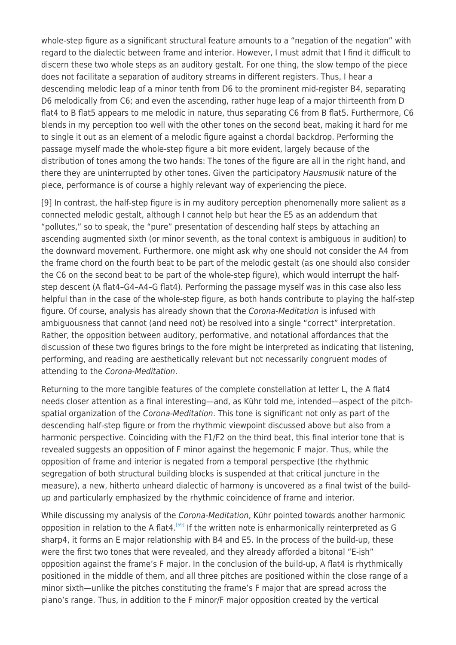whole-step figure as a significant structural feature amounts to a "negation of the negation" with regard to the dialectic between frame and interior. However, I must admit that I find it difficult to discern these two whole steps as an auditory gestalt. For one thing, the slow tempo of the piece does not facilitate a separation of auditory streams in different registers. Thus, I hear a descending melodic leap of a minor tenth from D6 to the prominent mid-register B4, separating D6 melodically from C6; and even the ascending, rather huge leap of a major thirteenth from D flat4 to B flat5 appears to me melodic in nature, thus separating C6 from B flat5. Furthermore, C6 blends in my perception too well with the other tones on the second beat, making it hard for me to single it out as an element of a melodic figure against a chordal backdrop. Performing the passage myself made the whole-step figure a bit more evident, largely because of the distribution of tones among the two hands: The tones of the figure are all in the right hand, and there they are uninterrupted by other tones. Given the participatory Hausmusik nature of the piece, performance is of course a highly relevant way of experiencing the piece.

[9] In contrast, the half-step figure is in my auditory perception phenomenally more salient as a connected melodic gestalt, although I cannot help but hear the E5 as an addendum that "pollutes," so to speak, the "pure" presentation of descending half steps by attaching an ascending augmented sixth (or minor seventh, as the tonal context is ambiguous in audition) to the downward movement. Furthermore, one might ask why one should not consider the A4 from the frame chord on the fourth beat to be part of the melodic gestalt (as one should also consider the C6 on the second beat to be part of the whole-step figure), which would interrupt the halfstep descent (A flat4–G4–A4–G flat4). Performing the passage myself was in this case also less helpful than in the case of the whole-step figure, as both hands contribute to playing the half-step figure. Of course, analysis has already shown that the Corona-Meditation is infused with ambiguousness that cannot (and need not) be resolved into a single "correct" interpretation. Rather, the opposition between auditory, performative, and notational affordances that the discussion of these two figures brings to the fore might be interpreted as indicating that listening, performing, and reading are aesthetically relevant but not necessarily congruent modes of attending to the Corona-Meditation.

Returning to the more tangible features of the complete constellation at letter L, the A flat4 needs closer attention as a final interesting—and, as Kühr told me, intended—aspect of the pitchspatial organization of the Corona-Meditation. This tone is significant not only as part of the descending half-step figure or from the rhythmic viewpoint discussed above but also from a harmonic perspective. Coinciding with the F1/F2 on the third beat, this final interior tone that is revealed suggests an opposition of F minor against the hegemonic F major. Thus, while the opposition of frame and interior is negated from a temporal perspective (the rhythmic segregation of both structural building blocks is suspended at that critical juncture in the measure), a new, hitherto unheard dialectic of harmony is uncovered as a final twist of the buildup and particularly emphasized by the rhythmic coincidence of frame and interior.

While discussing my analysis of the Corona-Meditation, Kühr pointed towards another harmonic opposition in relation to the A flat4.<sup>[\[59\]](#page--1-0)</sup> If the written note is enharmonically reinterpreted as G sharp4, it forms an E major relationship with B4 and E5. In the process of the build-up, these were the first two tones that were revealed, and they already afforded a bitonal "E-ish" opposition against the frame's F major. In the conclusion of the build-up, A flat4 is rhythmically positioned in the middle of them, and all three pitches are positioned within the close range of a minor sixth—unlike the pitches constituting the frame's F major that are spread across the piano's range. Thus, in addition to the F minor/F major opposition created by the vertical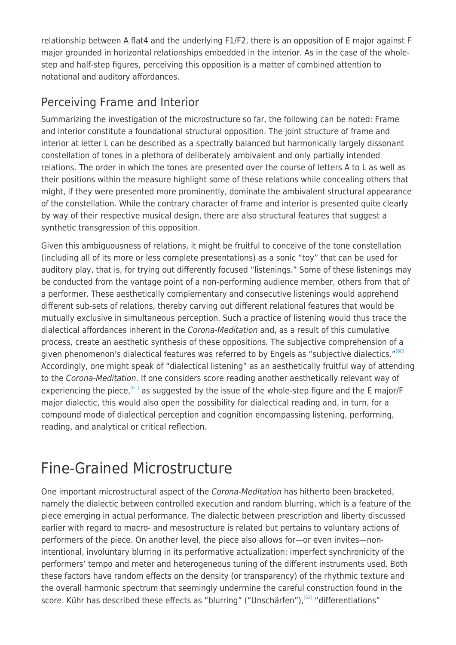relationship between A flat4 and the underlying F1/F2, there is an opposition of E major against F major grounded in horizontal relationships embedded in the interior. As in the case of the wholestep and half-step figures, perceiving this opposition is a matter of combined attention to notational and auditory affordances.

#### Perceiving Frame and Interior

Summarizing the investigation of the microstructure so far, the following can be noted: Frame and interior constitute a foundational structural opposition. The joint structure of frame and interior at letter L can be described as a spectrally balanced but harmonically largely dissonant constellation of tones in a plethora of deliberately ambivalent and only partially intended relations. The order in which the tones are presented over the course of letters A to L as well as their positions within the measure highlight some of these relations while concealing others that might, if they were presented more prominently, dominate the ambivalent structural appearance of the constellation. While the contrary character of frame and interior is presented quite clearly by way of their respective musical design, there are also structural features that suggest a synthetic transgression of this opposition.

Given this ambiguousness of relations, it might be fruitful to conceive of the tone constellation (including all of its more or less complete presentations) as a sonic "toy" that can be used for auditory play, that is, for trying out differently focused "listenings." Some of these listenings may be conducted from the vantage point of a non-performing audience member, others from that of a performer. These aesthetically complementary and consecutive listenings would apprehend different sub-sets of relations, thereby carving out different relational features that would be mutually exclusive in simultaneous perception. Such a practice of listening would thus trace the dialectical affordances inherent in the Corona-Meditation and, as a result of this cumulative process, create an aesthetic synthesis of these oppositions. The subjective comprehension of a given phenomenon's dialectical features was referred to by Engels as "subjective dialectics."<sup>[\[60\]](#page--1-0)</sup> Accordingly, one might speak of "dialectical listening" as an aesthetically fruitful way of attending to the Corona-Meditation. If one considers score reading another aesthetically relevant way of experiencing the piece,  $[61]$  as suggested by the issue of the whole-step figure and the E major/F major dialectic, this would also open the possibility for dialectical reading and, in turn, for a compound mode of dialectical perception and cognition encompassing listening, performing, reading, and analytical or critical reflection.

## Fine-Grained Microstructure

One important microstructural aspect of the Corona-Meditation has hitherto been bracketed, namely the dialectic between controlled execution and random blurring, which is a feature of the piece emerging in actual performance. The dialectic between prescription and liberty discussed earlier with regard to macro- and mesostructure is related but pertains to voluntary actions of performers of the piece. On another level, the piece also allows for—or even invites—nonintentional, involuntary blurring in its performative actualization: imperfect synchronicity of the performers' tempo and meter and heterogeneous tuning of the different instruments used. Both these factors have random effects on the density (or transparency) of the rhythmic texture and the overall harmonic spectrum that seemingly undermine the careful construction found in the score. Kühr has described these effects as "blurring" ("Unschärfen"),<sup>[\[62\]](#page--1-0)</sup> "differentiations"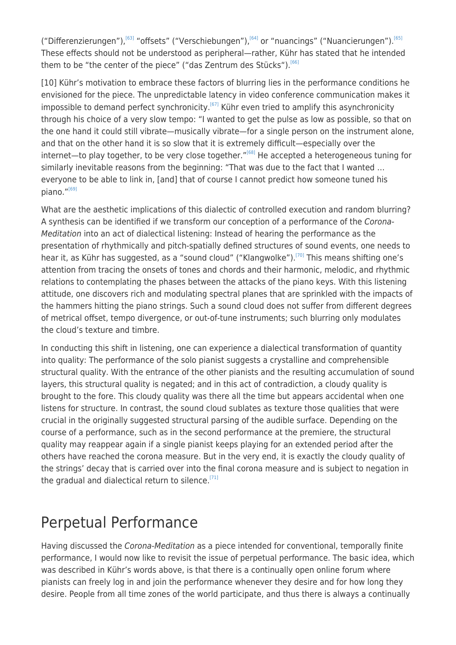("Differenzierungen"),<sup>[\[63\]](#page--1-0)</sup> "offsets" ("Verschiebungen"),<sup>[\[64\]](#page--1-0)</sup> or "nuancings" ("Nuancierungen"),<sup>[\[65\]](#page--1-0)</sup> These effects should not be understood as peripheral—rather, Kühr has stated that he intended them to be "the center of the piece" ("das Zentrum des Stücks").<sup>[\[66\]](#page--1-0)</sup>

[10] Kühr's motivation to embrace these factors of blurring lies in the performance conditions he envisioned for the piece. The unpredictable latency in video conference communication makes it impossible to demand perfect synchronicity.<sup>[\[67\]](#page--1-0)</sup> Kühr even tried to amplify this asynchronicity through his choice of a very slow tempo: "I wanted to get the pulse as low as possible, so that on the one hand it could still vibrate—musically vibrate—for a single person on the instrument alone, and that on the other hand it is so slow that it is extremely difficult—especially over the  $internet$ —to play together, to be very close together."<sup>[\[68\]](#page--1-0)</sup> He accepted a heterogeneous tuning for similarly inevitable reasons from the beginning: "That was due to the fact that I wanted … everyone to be able to link in, [and] that of course I cannot predict how someone tuned his piano. $^{\prime\prime [69]}$  $^{\prime\prime [69]}$  $^{\prime\prime [69]}$ 

What are the aesthetic implications of this dialectic of controlled execution and random blurring? A synthesis can be identified if we transform our conception of a performance of the Corona-Meditation into an act of dialectical listening: Instead of hearing the performance as the presentation of rhythmically and pitch-spatially defined structures of sound events, one needs to hear it, as Kühr has suggested, as a "sound cloud" ("Klangwolke").<sup>[\[70\]](#page--1-0)</sup> This means shifting one's attention from tracing the onsets of tones and chords and their harmonic, melodic, and rhythmic relations to contemplating the phases between the attacks of the piano keys. With this listening attitude, one discovers rich and modulating spectral planes that are sprinkled with the impacts of the hammers hitting the piano strings. Such a sound cloud does not suffer from different degrees of metrical offset, tempo divergence, or out-of-tune instruments; such blurring only modulates the cloud's texture and timbre.

In conducting this shift in listening, one can experience a dialectical transformation of quantity into quality: The performance of the solo pianist suggests a crystalline and comprehensible structural quality. With the entrance of the other pianists and the resulting accumulation of sound layers, this structural quality is negated; and in this act of contradiction, a cloudy quality is brought to the fore. This cloudy quality was there all the time but appears accidental when one listens for structure. In contrast, the sound cloud sublates as texture those qualities that were crucial in the originally suggested structural parsing of the audible surface. Depending on the course of a performance, such as in the second performance at the premiere, the structural quality may reappear again if a single pianist keeps playing for an extended period after the others have reached the corona measure. But in the very end, it is exactly the cloudy quality of the strings' decay that is carried over into the final corona measure and is subject to negation in the gradual and dialectical return to silence.<sup>[\[71\]](#page--1-0)</sup>

## Perpetual Performance

Having discussed the Corona-Meditation as a piece intended for conventional, temporally finite performance, I would now like to revisit the issue of perpetual performance. The basic idea, which was described in Kühr's words above, is that there is a continually open online forum where pianists can freely log in and join the performance whenever they desire and for how long they desire. People from all time zones of the world participate, and thus there is always a continually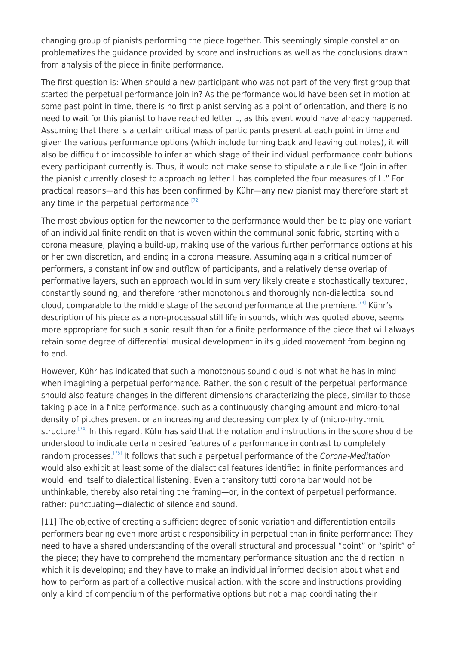changing group of pianists performing the piece together. This seemingly simple constellation problematizes the guidance provided by score and instructions as well as the conclusions drawn from analysis of the piece in finite performance.

The first question is: When should a new participant who was not part of the very first group that started the perpetual performance join in? As the performance would have been set in motion at some past point in time, there is no first pianist serving as a point of orientation, and there is no need to wait for this pianist to have reached letter L, as this event would have already happened. Assuming that there is a certain critical mass of participants present at each point in time and given the various performance options (which include turning back and leaving out notes), it will also be difficult or impossible to infer at which stage of their individual performance contributions every participant currently is. Thus, it would not make sense to stipulate a rule like "Join in after the pianist currently closest to approaching letter L has completed the four measures of L." For practical reasons—and this has been confirmed by Kühr—any new pianist may therefore start at any time in the perpetual performance.<sup>[\[72\]](#page--1-0)</sup>

The most obvious option for the newcomer to the performance would then be to play one variant of an individual finite rendition that is woven within the communal sonic fabric, starting with a corona measure, playing a build-up, making use of the various further performance options at his or her own discretion, and ending in a corona measure. Assuming again a critical number of performers, a constant inflow and outflow of participants, and a relatively dense overlap of performative layers, such an approach would in sum very likely create a stochastically textured, constantly sounding, and therefore rather monotonous and thoroughly non-dialectical sound cloud, comparable to the middle stage of the second performance at the premiere.<sup>[\[73\]](#page--1-0)</sup> Kühr's description of his piece as a non-processual still life in sounds, which was quoted above, seems more appropriate for such a sonic result than for a finite performance of the piece that will always retain some degree of differential musical development in its guided movement from beginning to end.

However, Kühr has indicated that such a monotonous sound cloud is not what he has in mind when imagining a perpetual performance. Rather, the sonic result of the perpetual performance should also feature changes in the different dimensions characterizing the piece, similar to those taking place in a finite performance, such as a continuously changing amount and micro-tonal density of pitches present or an increasing and decreasing complexity of (micro-)rhythmic structure.<sup>[\[74\]](#page--1-0)</sup> In this regard, Kühr has said that the notation and instructions in the score should be understood to indicate certain desired features of a performance in contrast to completely random processes.<sup>[\[75\]](#page--1-0)</sup> It follows that such a perpetual performance of the Corona-Meditation would also exhibit at least some of the dialectical features identified in finite performances and would lend itself to dialectical listening. Even a transitory tutti corona bar would not be unthinkable, thereby also retaining the framing—or, in the context of perpetual performance, rather: punctuating—dialectic of silence and sound.

[11] The objective of creating a sufficient degree of sonic variation and differentiation entails performers bearing even more artistic responsibility in perpetual than in finite performance: They need to have a shared understanding of the overall structural and processual "point" or "spirit" of the piece; they have to comprehend the momentary performance situation and the direction in which it is developing; and they have to make an individual informed decision about what and how to perform as part of a collective musical action, with the score and instructions providing only a kind of compendium of the performative options but not a map coordinating their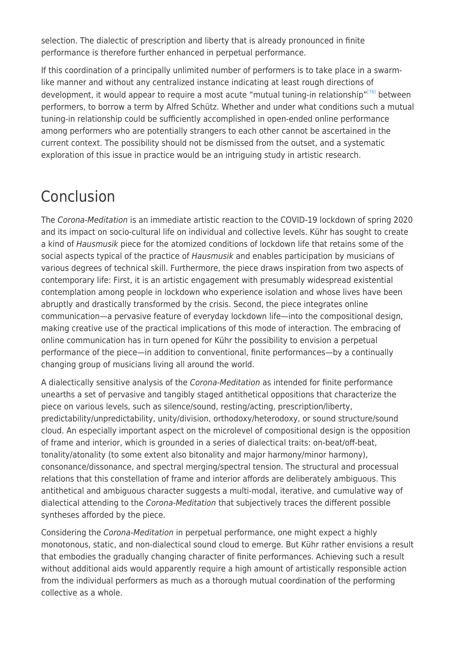selection. The dialectic of prescription and liberty that is already pronounced in finite performance is therefore further enhanced in perpetual performance.

If this coordination of a principally unlimited number of performers is to take place in a swarmlike manner and without any centralized instance indicating at least rough directions of development, it would appear to require a most acute "mutual tuning-in relationship"<sup>[\[76\]](#page--1-0)</sup> between performers, to borrow a term by Alfred Schütz. Whether and under what conditions such a mutual tuning-in relationship could be sufficiently accomplished in open-ended online performance among performers who are potentially strangers to each other cannot be ascertained in the current context. The possibility should not be dismissed from the outset, and a systematic exploration of this issue in practice would be an intriguing study in artistic research.

# Conclusion

The Corona-Meditation is an immediate artistic reaction to the COVID-19 lockdown of spring 2020 and its impact on socio-cultural life on individual and collective levels. Kühr has sought to create a kind of Hausmusik piece for the atomized conditions of lockdown life that retains some of the social aspects typical of the practice of Hausmusik and enables participation by musicians of various degrees of technical skill. Furthermore, the piece draws inspiration from two aspects of contemporary life: First, it is an artistic engagement with presumably widespread existential contemplation among people in lockdown who experience isolation and whose lives have been abruptly and drastically transformed by the crisis. Second, the piece integrates online communication—a pervasive feature of everyday lockdown life—into the compositional design, making creative use of the practical implications of this mode of interaction. The embracing of online communication has in turn opened for Kühr the possibility to envision a perpetual performance of the piece—in addition to conventional, finite performances—by a continually changing group of musicians living all around the world.

A dialectically sensitive analysis of the Corona-Meditation as intended for finite performance unearths a set of pervasive and tangibly staged antithetical oppositions that characterize the piece on various levels, such as silence/sound, resting/acting, prescription/liberty, predictability/unpredictability, unity/division, orthodoxy/heterodoxy, or sound structure/sound cloud. An especially important aspect on the microlevel of compositional design is the opposition of frame and interior, which is grounded in a series of dialectical traits: on-beat/off-beat, tonality/atonality (to some extent also bitonality and major harmony/minor harmony), consonance/dissonance, and spectral merging/spectral tension. The structural and processual relations that this constellation of frame and interior affords are deliberately ambiguous. This antithetical and ambiguous character suggests a multi-modal, iterative, and cumulative way of dialectical attending to the Corona-Meditation that subjectively traces the different possible syntheses afforded by the piece.

Considering the Corona-Meditation in perpetual performance, one might expect a highly monotonous, static, and non-dialectical sound cloud to emerge. But Kühr rather envisions a result that embodies the gradually changing character of finite performances. Achieving such a result without additional aids would apparently require a high amount of artistically responsible action from the individual performers as much as a thorough mutual coordination of the performing collective as a whole.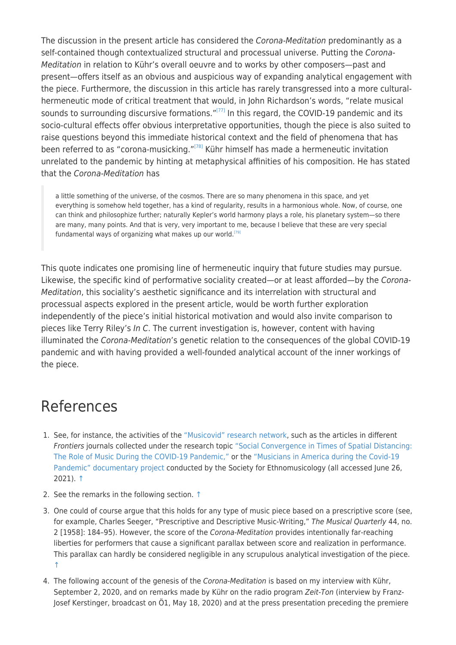The discussion in the present article has considered the Corona-Meditation predominantly as a self-contained though contextualized structural and processual universe. Putting the Corona-Meditation in relation to Kühr's overall oeuvre and to works by other composers—past and present—offers itself as an obvious and auspicious way of expanding analytical engagement with the piece. Furthermore, the discussion in this article has rarely transgressed into a more culturalhermeneutic mode of critical treatment that would, in John Richardson's words, "relate musical sounds to surrounding discursive formations."<sup>[\[77\]](#page--1-0)</sup> In this regard, the COVID-19 pandemic and its socio-cultural effects offer obvious interpretative opportunities, though the piece is also suited to raise questions beyond this immediate historical context and the field of phenomena that has been referred to as "corona-musicking."<sup>[\[78\]](#page--1-0)</sup> Kühr himself has made a hermeneutic invitation unrelated to the pandemic by hinting at metaphysical affinities of his composition. He has stated that the Corona-Meditation has

a little something of the universe, of the cosmos. There are so many phenomena in this space, and yet everything is somehow held together, has a kind of regularity, results in a harmonious whole. Now, of course, one can think and philosophize further; naturally Kepler's world harmony plays a role, his planetary system—so there are many, many points. And that is very, very important to me, because I believe that these are very special fundamental ways of organizing what makes up our world.<sup>[\[79\]](#page--1-0)</sup>

This quote indicates one promising line of hermeneutic inquiry that future studies may pursue. Likewise, the specific kind of performative sociality created—or at least afforded—by the Corona-Meditation, this sociality's aesthetic significance and its interrelation with structural and processual aspects explored in the present article, would be worth further exploration independently of the piece's initial historical motivation and would also invite comparison to pieces like Terry Riley's In C. The current investigation is, however, content with having illuminated the Corona-Meditation's genetic relation to the consequences of the global COVID-19 pandemic and with having provided a well-founded analytical account of the inner workings of the piece.

#### References

- 1. See, for instance, the activities of the ["Musicovid" research network,](https://www.aesthetics.mpg.de/en/research/department-of-music/musicovid-an-international-research-network.html) such as the articles in different Frontiers journals collected under the research topic ["Social Convergence in Times of Spatial Distancing:](https://www.frontiersin.org/research-topics/14089/social-convergence-in-times-of-spatial-distancing-the-role-of-music-during-the-covid-19-pandemic) [The Role of Music During the COVID-19 Pandemic,"](https://www.frontiersin.org/research-topics/14089/social-convergence-in-times-of-spatial-distancing-the-role-of-music-during-the-covid-19-pandemic) or the ["Musicians in America during the Covid-19](https://semmusicianscovid.com) [Pandemic" documentary project](https://semmusicianscovid.com) conducted by the Society for Ethnomusicology (all accessed June 26, 2021). [↑](#page--1-0)
- 2. See the remarks in the following section. [↑](#page--1-0)
- 3. One could of course argue that this holds for any type of music piece based on a prescriptive score (see, for example, Charles Seeger, "Prescriptive and Descriptive Music-Writing," The Musical Quarterly 44, no. 2 [1958]: 184–95). However, the score of the Corona-Meditation provides intentionally far-reaching liberties for performers that cause a significant parallax between score and realization in performance. This parallax can hardly be considered negligible in any scrupulous analytical investigation of the piece. [↑](#page--1-0)
- 4. The following account of the genesis of the Corona-Meditation is based on my interview with Kühr, September 2, 2020, and on remarks made by Kühr on the radio program Zeit-Ton (interview by Franz-Josef Kerstinger, broadcast on Ö1, May 18, 2020) and at the press presentation preceding the premiere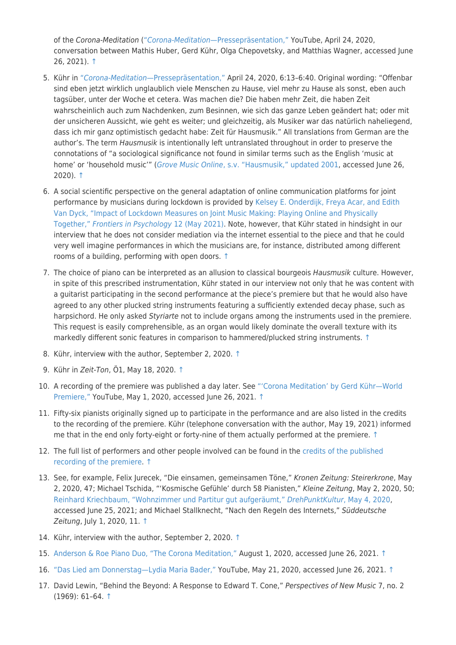of the Corona-Meditation (["](https://youtu.be/7CLuO9nBPpU)[Corona-Meditation](https://youtu.be/7CLuO9nBPpU)[—Pressepräsentation,"](https://youtu.be/7CLuO9nBPpU) YouTube, April 24, 2020, conversation between Mathis Huber, Gerd Kühr, Olga Chepovetsky, and Matthias Wagner, accessed June 26, 2021). [↑](#page--1-0)

- 5. Kühr in ["](https://youtu.be/7CLuO9nBPpU?t=371)[Corona-Meditation](https://youtu.be/7CLuO9nBPpU?t=371)[—Pressepräsentation,"](https://youtu.be/7CLuO9nBPpU?t=371) April 24, 2020, 6:13–6:40. Original wording: "Offenbar sind eben jetzt wirklich unglaublich viele Menschen zu Hause, viel mehr zu Hause als sonst, eben auch tagsüber, unter der Woche et cetera. Was machen die? Die haben mehr Zeit, die haben Zeit wahrscheinlich auch zum Nachdenken, zum Besinnen, wie sich das ganze Leben geändert hat; oder mit der unsicheren Aussicht, wie geht es weiter; und gleichzeitig, als Musiker war das natürlich naheliegend, dass ich mir ganz optimistisch gedacht habe: Zeit für Hausmusik." All translations from German are the author's. The term Hausmusik is intentionally left untranslated throughout in order to preserve the connotations of "a sociological significance not found in similar terms such as the English 'music at home' or 'household music'" ([Grove Music Online](http://doi.org/10.1093/gmo/9781561592630.article.12568)[, s.v. "Hausmusik," updated 2001,](http://doi.org/10.1093/gmo/9781561592630.article.12568) accessed June 26, 2020). [↑](#page--1-0)
- 6. A social scientific perspective on the general adaptation of online communication platforms for joint performance by musicians during lockdown is provided by [Kelsey E. Onderdijk, Freya Acar, and Edith](https://doi.org/10.3389/fpsyg.2021.642713) [Van Dyck, "Impact of Lockdown Measures on Joint Music Making: Playing Online and Physically](https://doi.org/10.3389/fpsyg.2021.642713) [Together,"](https://doi.org/10.3389/fpsyg.2021.642713) [Frontiers in Psychology](https://doi.org/10.3389/fpsyg.2021.642713) [12 \(May 2021\)](https://doi.org/10.3389/fpsyg.2021.642713). Note, however, that Kühr stated in hindsight in our interview that he does not consider mediation via the internet essential to the piece and that he could very well imagine performances in which the musicians are, for instance, distributed among different rooms of a building, performing with open doors. [↑](#page--1-0)
- 7. The choice of piano can be interpreted as an allusion to classical bourgeois Hausmusik culture. However, in spite of this prescribed instrumentation, Kühr stated in our interview not only that he was content with a guitarist participating in the second performance at the piece's premiere but that he would also have agreed to any other plucked string instruments featuring a sufficiently extended decay phase, such as harpsichord. He only asked Styriarte not to include organs among the instruments used in the premiere. This request is easily comprehensible, as an organ would likely dominate the overall texture with its markedly different sonic features in comparison to hammered/plucked string instruments. [↑](#page--1-0)
- 8. Kühr, interview with the author, September 2, 2020. [↑](#page--1-0)
- 9. Kühr in Zeit-Ton, Ö1, May 18, 2020. [↑](#page--1-0)
- 10. A recording of the premiere was published a day later. See ["'Corona Meditation' by Gerd Kühr—World](https://youtu.be/XQ7e2twUl1g) [Premiere,"](https://youtu.be/XQ7e2twUl1g) YouTube, May 1, 2020, accessed June 26, 2021. [↑](#page--1-0)
- 11. Fifty-six pianists originally signed up to participate in the performance and are also listed in the credits to the recording of the premiere. Kühr (telephone conversation with the author, May 19, 2021) informed me that in the end only forty-eight or forty-nine of them actually performed at the premiere. [↑](#page--1-0)
- 12. The full list of performers and other people involved can be found in the [credits of the published](https://youtu.be/XQ7e2twUl1g?t=2730) [recording of the premiere](https://youtu.be/XQ7e2twUl1g?t=2730). [↑](#page--1-0)
- 13. See, for example, Felix Jurecek, "Die einsamen, gemeinsamen Töne," Kronen Zeitung: Steirerkrone, May 2, 2020, 47; Michael Tschida, "'Kosmische Gefühle' durch 58 Pianisten," Kleine Zeitung, May 2, 2020, 50; [Reinhard Kriechbaum, "Wohnzimmer und Partitur gut aufgeräumt,"](http://www.drehpunktkultur.at/index.php/rest-der-welt/oesterreich/14130-wohnzimmer-und-partitur-gut-aufgeraeumt) [DrehPunktKultur](http://www.drehpunktkultur.at/index.php/rest-der-welt/oesterreich/14130-wohnzimmer-und-partitur-gut-aufgeraeumt)[, May 4, 2020,](http://www.drehpunktkultur.at/index.php/rest-der-welt/oesterreich/14130-wohnzimmer-und-partitur-gut-aufgeraeumt) accessed June 25, 2021; and Michael Stallknecht, "Nach den Regeln des Internets," Süddeutsche Zeitung, July 1, 2020, 11. [↑](#page--1-0)
- 14. Kühr, interview with the author, September 2, 2020. [↑](#page--1-0)
- 15. [Anderson & Roe Piano Duo, "The Corona Meditation,"](https://www.andersonroe.com/news/2020/7/31/the-corona-meditation) August 1, 2020, accessed June 26, 2021. [↑](#page--1-0)
- 16. ["Das Lied am Donnerstag—Lydia Maria Bader,"](https://www.youtube.com/watch?v=5QzHCmSE5pY) YouTube, May 21, 2020, accessed June 26, 2021. [↑](#page--1-0)
- 17. David Lewin, "Behind the Beyond: A Response to Edward T. Cone," Perspectives of New Music 7, no. 2 (1969): 61–64. [↑](#page--1-0)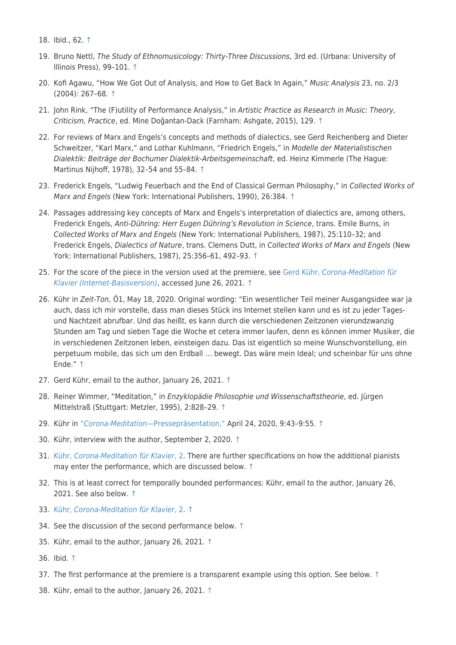- 18. Ibid., 62. [↑](#page--1-0)
- 19. Bruno Nettl, The Study of Ethnomusicology: Thirty-Three Discussions, 3rd ed. (Urbana: University of Illinois Press), 99–101. [↑](#page--1-0)
- 20. Kofi Agawu, "How We Got Out of Analysis, and How to Get Back In Again," Music Analysis 23, no. 2/3 (2004): 267–68. [↑](#page--1-0)
- 21. John Rink, "The (F)utility of Performance Analysis," in Artistic Practice as Research in Music: Theory, Criticism, Practice, ed. Mine Doğantan-Dack (Farnham: Ashgate, 2015), 129. [↑](#page--1-0)
- 22. For reviews of Marx and Engels's concepts and methods of dialectics, see Gerd Reichenberg and Dieter Schweitzer, "Karl Marx," and Lothar Kuhlmann, "Friedrich Engels," in Modelle der Materialistischen Dialektik: Beiträge der Bochumer Dialektik-Arbeitsgemeinschaft, ed. Heinz Kimmerle (The Hague: Martinus Nijhoff, 1978), 32–54 and 55–84. [↑](#page--1-0)
- 23. Frederick Engels, "Ludwig Feuerbach and the End of Classical German Philosophy," in Collected Works of Marx and Engels (New York: International Publishers, 1990), 26:384. [↑](#page--1-0)
- 24. Passages addressing key concepts of Marx and Engels's interpretation of dialectics are, among others, Frederick Engels, Anti-Dühring: Herr Eugen Dühring's Revolution in Science, trans. Emile Burns, in Collected Works of Marx and Engels (New York: International Publishers, 1987), 25:110–32; and Frederick Engels, Dialectics of Nature, trans. Clemens Dutt, in Collected Works of Marx and Engels (New York: International Publishers, 1987), 25:356–61, 492–93. [↑](#page--1-0)
- 25. For the score of the piece in the version used at the premiere, see [Gerd Kühr,](https://styriarte.imgix.net/pdf/jobs/corona-meditation-score_eng-de_final.pdf) [Corona-Meditation für](https://styriarte.imgix.net/pdf/jobs/corona-meditation-score_eng-de_final.pdf) [Klavier \(Internet-Basisversion\)](https://styriarte.imgix.net/pdf/jobs/corona-meditation-score_eng-de_final.pdf), accessed June 26, 2021. [↑](#page--1-0)
- 26. Kühr in Zeit-Ton, Ö1, May 18, 2020. Original wording: "Ein wesentlicher Teil meiner Ausgangsidee war ja auch, dass ich mir vorstelle, dass man dieses Stück ins Internet stellen kann und es ist zu jeder Tagesund Nachtzeit abrufbar. Und das heißt, es kann durch die verschiedenen Zeitzonen vierundzwanzig Stunden am Tag und sieben Tage die Woche et cetera immer laufen, denn es können immer Musiker, die in verschiedenen Zeitzonen leben, einsteigen dazu. Das ist eigentlich so meine Wunschvorstellung, ein perpetuum mobile, das sich um den Erdball … bewegt. Das wäre mein Ideal; und scheinbar für uns ohne Ende." [↑](#page--1-0)
- 27. Gerd Kühr, email to the author, January 26, 2021. [↑](#page--1-0)
- 28. Reiner Wimmer, "Meditation," in Enzyklopädie Philosophie und Wissenschaftstheorie, ed. Jürgen Mittelstraß (Stuttgart: Metzler, 1995), 2:828–29. [↑](#page--1-0)
- 29. Kühr in ["](https://youtu.be/7CLuO9nBPpU?t=583)[Corona-Meditation](https://youtu.be/7CLuO9nBPpU?t=583)[—Pressepräsentation,"](https://youtu.be/7CLuO9nBPpU?t=583) April 24, 2020, 9:43–9:55. [↑](#page--1-0)
- 30. Kühr, interview with the author, September 2, 2020. [↑](#page--1-0)
- 31. [Kühr,](https://styriarte.imgix.net/pdf/jobs/corona-meditation-score_eng-de_final.pdf) [Corona-Meditation für Klavier](https://styriarte.imgix.net/pdf/jobs/corona-meditation-score_eng-de_final.pdf)[, 2](https://styriarte.imgix.net/pdf/jobs/corona-meditation-score_eng-de_final.pdf). There are further specifications on how the additional pianists may enter the performance, which are discussed below. [↑](#page--1-0)
- 32. This is at least correct for temporally bounded performances: Kühr, email to the author, January 26, 2021. See also below. [↑](#page--1-0)
- 33. [Kühr,](https://styriarte.imgix.net/pdf/jobs/corona-meditation-score_eng-de_final.pdf) [Corona-Meditation für Klavier](https://styriarte.imgix.net/pdf/jobs/corona-meditation-score_eng-de_final.pdf)[, 2](https://styriarte.imgix.net/pdf/jobs/corona-meditation-score_eng-de_final.pdf). [↑](#page--1-0)
- 34. See the discussion of the second performance below. [↑](#page--1-0)
- 35. Kühr, email to the author, January 26, 2021. [↑](#page--1-0)
- 36. Ibid. [↑](#page--1-0)
- 37. The first performance at the premiere is a transparent example using this option. See below.  $\uparrow$
- 38. Kühr, email to the author, January 26, 2021. [↑](#page--1-0)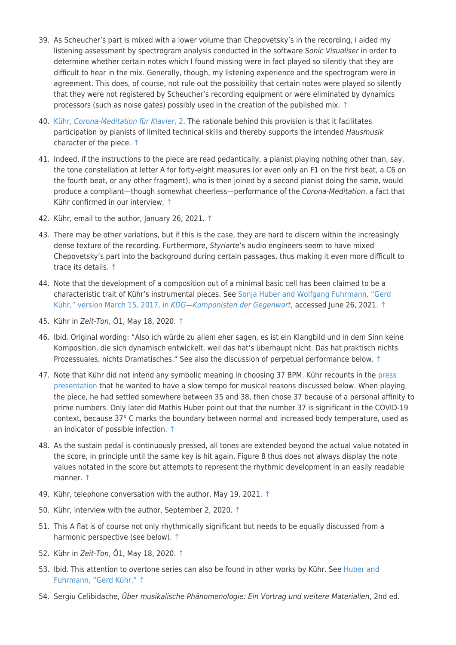- 39. As Scheucher's part is mixed with a lower volume than Chepovetsky's in the recording, I aided my listening assessment by spectrogram analysis conducted in the software Sonic Visualiser in order to determine whether certain notes which I found missing were in fact played so silently that they are difficult to hear in the mix. Generally, though, my listening experience and the spectrogram were in agreement. This does, of course, not rule out the possibility that certain notes were played so silently that they were not registered by Scheucher's recording equipment or were eliminated by dynamics processors (such as noise gates) possibly used in the creation of the published mix. [↑](#page--1-0)
- 40. [Kühr,](https://styriarte.imgix.net/pdf/jobs/corona-meditation-score_eng-de_final.pdf) [Corona-Meditation für Klavier](https://styriarte.imgix.net/pdf/jobs/corona-meditation-score_eng-de_final.pdf)[, 2](https://styriarte.imgix.net/pdf/jobs/corona-meditation-score_eng-de_final.pdf). The rationale behind this provision is that it facilitates participation by pianists of limited technical skills and thereby supports the intended Hausmusik character of the piece. [↑](#page--1-0)
- 41. Indeed, if the instructions to the piece are read pedantically, a pianist playing nothing other than, say, the tone constellation at letter A for forty-eight measures (or even only an F1 on the first beat, a C6 on the fourth beat, or any other fragment), who is then joined by a second pianist doing the same, would produce a compliant—though somewhat cheerless—performance of the Corona-Meditation, a fact that Kühr confirmed in our interview. [↑](#page--1-0)
- 42. Kühr, email to the author, January 26, 2021. [↑](#page--1-0)
- 43. There may be other variations, but if this is the case, they are hard to discern within the increasingly dense texture of the recording. Furthermore, Styriarte's audio engineers seem to have mixed Chepovetsky's part into the background during certain passages, thus making it even more difficult to trace its details. [↑](#page--1-0)
- 44. Note that the development of a composition out of a minimal basic cell has been claimed to be a characteristic trait of Kühr's instrumental pieces. See [Sonja Huber and Wolfgang Fuhrmann, "Gerd](http://www.nachschlage.net/document/17000000320) [Kühr," version March 15, 2017, in](http://www.nachschlage.net/document/17000000320) [KDG—Komponisten der Gegenwart](http://www.nachschlage.net/document/17000000320), accessed June 26, 2021. [↑](#page--1-0)
- 45. Kühr in Zeit-Ton, Ö1, May 18, 2020. [↑](#page--1-0)
- 46. Ibid. Original wording: "Also ich würde zu allem eher sagen, es ist ein Klangbild und in dem Sinn keine Komposition, die sich dynamisch entwickelt, weil das hat's überhaupt nicht. Das hat praktisch nichts Prozessuales, nichts Dramatisches." See also the discussion of perpetual performance below. [↑](#page--1-0)
- 47. Note that Kühr did not intend any symbolic meaning in choosing 37 BPM. Kühr recounts in the [press](https://youtu.be/7CLuO9nBPpU?t=677) [presentation](https://youtu.be/7CLuO9nBPpU?t=677) that he wanted to have a slow tempo for musical reasons discussed below. When playing the piece, he had settled somewhere between 35 and 38, then chose 37 because of a personal affinity to prime numbers. Only later did Mathis Huber point out that the number 37 is significant in the COVID-19 context, because 37° C marks the boundary between normal and increased body temperature, used as an indicator of possible infection. [↑](#page--1-0)
- 48. As the sustain pedal is continuously pressed, all tones are extended beyond the actual value notated in the score, in principle until the same key is hit again. Figure 8 thus does not always display the note values notated in the score but attempts to represent the rhythmic development in an easily readable manner. [↑](#page--1-0)
- 49. Kühr, telephone conversation with the author, May 19, 2021. [↑](#page--1-0)
- 50. Kühr, interview with the author, September 2, 2020. [↑](#page--1-0)
- 51. This A flat is of course not only rhythmically significant but needs to be equally discussed from a harmonic perspective (see below). [↑](#page--1-0)
- 52. Kühr in Zeit-Ton, Ö1, May 18, 2020. [↑](#page--1-0)
- 53. Ibid. This attention to overtone series can also be found in other works by Kühr. See [Huber and](http://www.nachschlage.net/document/17000000320) [Fuhrmann, "Gerd Kühr."](http://www.nachschlage.net/document/17000000320) [↑](#page--1-0)
- 54. Sergiu Celibidache, Über musikalische Phänomenologie: Ein Vortrag und weitere Materialien, 2nd ed.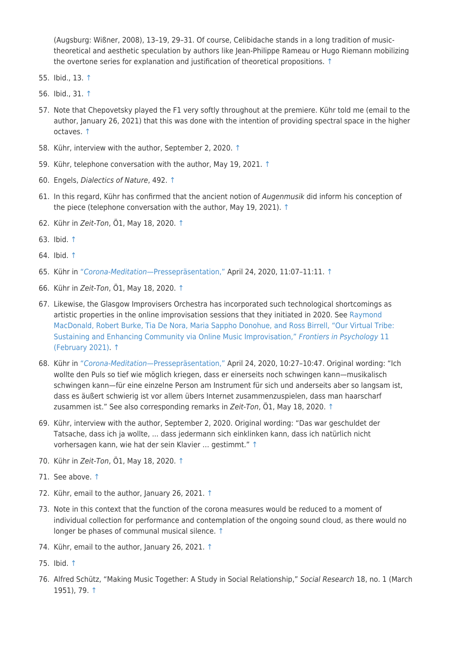(Augsburg: Wißner, 2008), 13–19, 29–31. Of course, Celibidache stands in a long tradition of musictheoretical and aesthetic speculation by authors like Jean-Philippe Rameau or Hugo Riemann mobilizing the overtone series for explanation and justification of theoretical propositions. [↑](#page--1-0)

- 55. Ibid., 13. [↑](#page--1-0)
- 56. Ibid., 31. [↑](#page--1-0)
- 57. Note that Chepovetsky played the F1 very softly throughout at the premiere. Kühr told me (email to the author, January 26, 2021) that this was done with the intention of providing spectral space in the higher octaves. [↑](#page--1-0)
- 58. Kühr, interview with the author, September 2, 2020. [↑](#page--1-0)
- 59. Kühr, telephone conversation with the author, May 19, 2021. [↑](#page--1-0)
- 60. Engels, Dialectics of Nature, 492. [↑](#page--1-0)
- 61. In this regard, Kühr has confirmed that the ancient notion of Augenmusik did inform his conception of the piece (telephone conversation with the author, May 19, 2021). [↑](#page--1-0)
- 62. Kühr in Zeit-Ton, Ö1, May 18, 2020. [↑](#page--1-0)
- 63. Ibid. [↑](#page--1-0)
- 64. Ibid. [↑](#page--1-0)
- 65. Kühr in ["](https://youtu.be/7CLuO9nBPpU?t=667)[Corona-Meditation](https://youtu.be/7CLuO9nBPpU?t=667)[—Pressepräsentation,"](https://youtu.be/7CLuO9nBPpU?t=667) April 24, 2020, 11:07–11:11. [↑](#page--1-0)
- 66. Kühr in Zeit-Ton, Ö1, May 18, 2020. [↑](#page--1-0)
- 67. Likewise, the Glasgow Improvisers Orchestra has incorporated such technological shortcomings as artistic properties in the online improvisation sessions that they initiated in 2020. See [Raymond](https://www.frontiersin.org/articles/10.3389/fpsyg.2020.623640/full) [MacDonald, Robert Burke, Tia De Nora, Maria Sappho Donohue, and Ross Birrell, "Our Virtual Tribe:](https://www.frontiersin.org/articles/10.3389/fpsyg.2020.623640/full) [Sustaining and Enhancing Community via Online Music Improvisation,"](https://www.frontiersin.org/articles/10.3389/fpsyg.2020.623640/full) [Frontiers in Psychology](https://www.frontiersin.org/articles/10.3389/fpsyg.2020.623640/full) [11](https://www.frontiersin.org/articles/10.3389/fpsyg.2020.623640/full) [\(February 2021\).](https://www.frontiersin.org/articles/10.3389/fpsyg.2020.623640/full) [↑](#page--1-0)
- 68. Kühr in ["](https://youtu.be/7CLuO9nBPpU?t=627)[Corona-Meditation](https://youtu.be/7CLuO9nBPpU?t=627)[—Pressepräsentation,"](https://youtu.be/7CLuO9nBPpU?t=627) April 24, 2020, 10:27–10:47. Original wording: "Ich wollte den Puls so tief wie möglich kriegen, dass er einerseits noch schwingen kann—musikalisch schwingen kann—für eine einzelne Person am Instrument für sich und anderseits aber so langsam ist, dass es äußert schwierig ist vor allem übers Internet zusammenzuspielen, dass man haarscharf zusammen ist." See also corresponding remarks in Zeit-Ton, Ö1, May 18, 2020. [↑](#page--1-0)
- 69. Kühr, interview with the author, September 2, 2020. Original wording: "Das war geschuldet der Tatsache, dass ich ja wollte, ... dass jedermann sich einklinken kann, dass ich natürlich nicht vorhersagen kann, wie hat der sein Klavier … gestimmt." [↑](#page--1-0)
- 70. Kühr in Zeit-Ton, Ö1, May 18, 2020. [↑](#page--1-0)
- 71. See above. [↑](#page--1-0)
- 72. Kühr, email to the author, January 26, 2021. [↑](#page--1-0)
- 73. Note in this context that the function of the corona measures would be reduced to a moment of individual collection for performance and contemplation of the ongoing sound cloud, as there would no longer be phases of communal musical silence. [↑](#page--1-0)
- 74. Kühr, email to the author, January 26, 2021. [↑](#page--1-0)
- 75. Ibid. [↑](#page--1-0)
- 76. Alfred Schütz, "Making Music Together: A Study in Social Relationship," Social Research 18, no. 1 (March 1951), 79. [↑](#page--1-0)